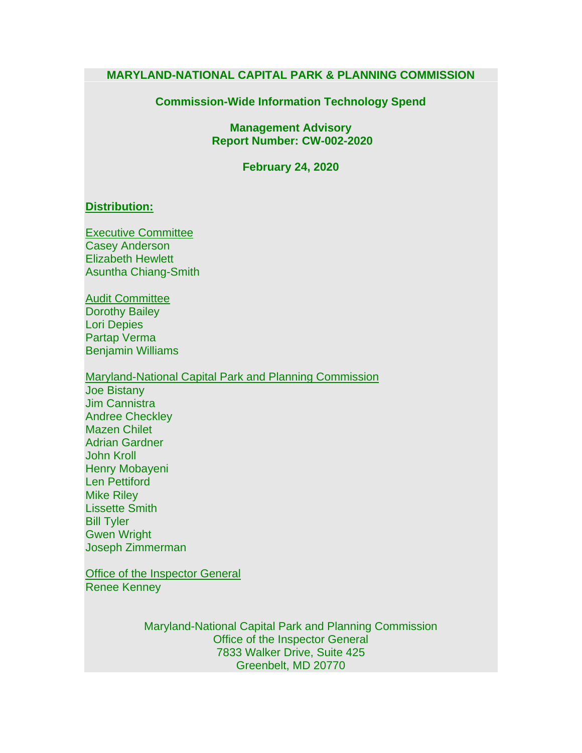#### **MARYLAND-NATIONAL CAPITAL PARK & PLANNING COMMISSION**

#### **Commission-Wide Information Technology Spend**

**Management Advisory Report Number: CW-002-2020**

**February 24, 2020**

#### **Distribution:**

Executive Committee Casey Anderson Elizabeth Hewlett Asuntha Chiang-Smith

Audit Committee Dorothy Bailey Lori Depies Partap Verma Benjamin Williams

Maryland-National Capital Park and Planning Commission Joe Bistany Jim Cannistra Andree Checkley Mazen Chilet Adrian Gardner John Kroll Henry Mobayeni Len Pettiford Mike Riley Lissette Smith Bill Tyler Gwen Wright Joseph Zimmerman

**Office of the Inspector General** Renee Kenney

> Maryland-National Capital Park and Planning Commission Office of the Inspector General 7833 Walker Drive, Suite 425 Greenbelt, MD 20770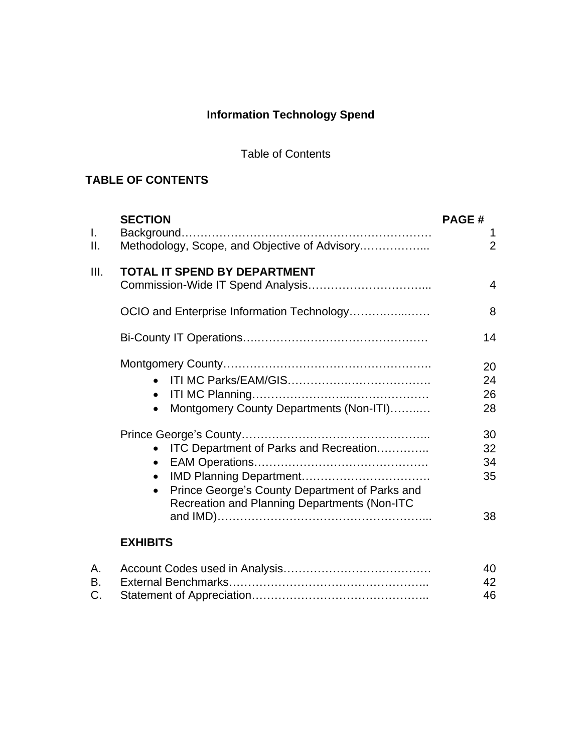# **Information Technology Spend**

## Table of Contents

## **TABLE OF CONTENTS**

| $\mathbf{L}$ | <b>SECTION</b>                                                                                                                                                                         | <b>PAGE#</b><br>1          |
|--------------|----------------------------------------------------------------------------------------------------------------------------------------------------------------------------------------|----------------------------|
| Ⅱ.           | Methodology, Scope, and Objective of Advisory                                                                                                                                          | $\overline{2}$             |
| III.         | <b>TOTAL IT SPEND BY DEPARTMENT</b>                                                                                                                                                    | 4                          |
|              | OCIO and Enterprise Information Technology                                                                                                                                             | 8                          |
|              |                                                                                                                                                                                        | 14                         |
|              | Montgomery County Departments (Non-ITI)                                                                                                                                                | 20<br>24<br>26<br>28       |
|              | <b>ITC Department of Parks and Recreation</b><br>$\bullet$<br>$\bullet$<br>Prince George's County Department of Parks and<br>$\bullet$<br>Recreation and Planning Departments (Non-ITC | 30<br>32<br>34<br>35<br>38 |
|              | <b>EXHIBITS</b>                                                                                                                                                                        |                            |

|  | 40 |
|--|----|
|  | 42 |
|  | 46 |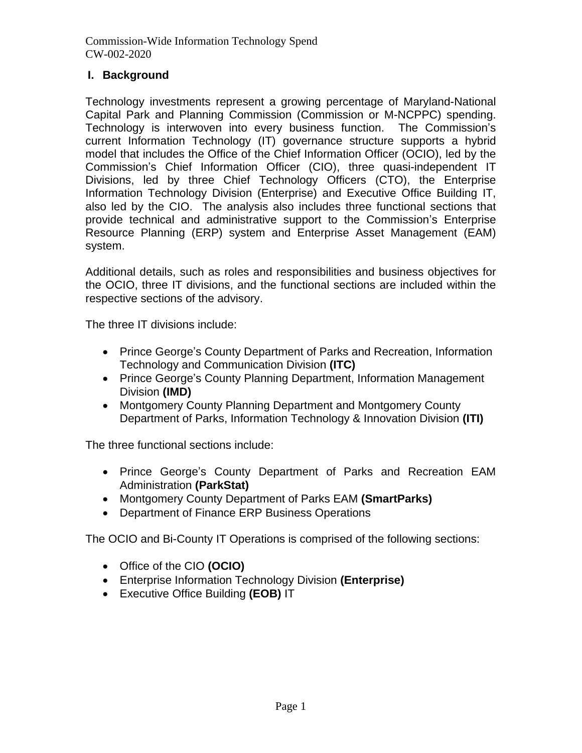## **I. Background**

Technology investments represent a growing percentage of Maryland-National Capital Park and Planning Commission (Commission or M-NCPPC) spending. Technology is interwoven into every business function. The Commission's current Information Technology (IT) governance structure supports a hybrid model that includes the Office of the Chief Information Officer (OCIO), led by the Commission's Chief Information Officer (CIO), three quasi-independent IT Divisions, led by three Chief Technology Officers (CTO), the Enterprise Information Technology Division (Enterprise) and Executive Office Building IT, also led by the CIO. The analysis also includes three functional sections that provide technical and administrative support to the Commission's Enterprise Resource Planning (ERP) system and Enterprise Asset Management (EAM) system.

Additional details, such as roles and responsibilities and business objectives for the OCIO, three IT divisions, and the functional sections are included within the respective sections of the advisory.

The three IT divisions include:

- Prince George's County Department of Parks and Recreation, Information Technology and Communication Division **(ITC)**
- Prince George's County Planning Department, Information Management Division **(IMD)**
- Montgomery County Planning Department and Montgomery County Department of Parks, Information Technology & Innovation Division **(ITI)**

The three functional sections include:

- Prince George's County Department of Parks and Recreation EAM Administration **(ParkStat)**
- Montgomery County Department of Parks EAM **(SmartParks)**
- Department of Finance ERP Business Operations

The OCIO and Bi-County IT Operations is comprised of the following sections:

- Office of the CIO **(OCIO)**
- Enterprise Information Technology Division **(Enterprise)**
- Executive Office Building **(EOB)** IT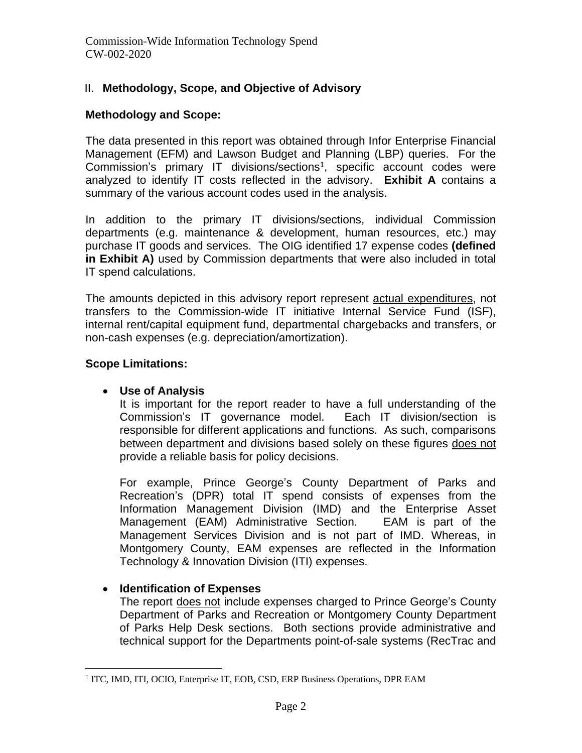## II. **Methodology, Scope, and Objective of Advisory**

#### **Methodology and Scope:**

The data presented in this report was obtained through Infor Enterprise Financial Management (EFM) and Lawson Budget and Planning (LBP) queries. For the Commission's primary IT divisions/sections<sup>1</sup>, specific account codes were analyzed to identify IT costs reflected in the advisory. **Exhibit A** contains a summary of the various account codes used in the analysis.

In addition to the primary IT divisions/sections, individual Commission departments (e.g. maintenance & development, human resources, etc.) may purchase IT goods and services. The OIG identified 17 expense codes **(defined in Exhibit A)** used by Commission departments that were also included in total IT spend calculations.

The amounts depicted in this advisory report represent actual expenditures, not transfers to the Commission-wide IT initiative Internal Service Fund (ISF), internal rent/capital equipment fund, departmental chargebacks and transfers, or non-cash expenses (e.g. depreciation/amortization).

### **Scope Limitations:**

## • **Use of Analysis**

It is important for the report reader to have a full understanding of the Commission's IT governance model. Each IT division/section is responsible for different applications and functions. As such, comparisons between department and divisions based solely on these figures does not provide a reliable basis for policy decisions.

For example, Prince George's County Department of Parks and Recreation's (DPR) total IT spend consists of expenses from the Information Management Division (IMD) and the Enterprise Asset Management (EAM) Administrative Section. EAM is part of the Management Services Division and is not part of IMD. Whereas, in Montgomery County, EAM expenses are reflected in the Information Technology & Innovation Division (ITI) expenses.

## • **Identification of Expenses**

The report does not include expenses charged to Prince George's County Department of Parks and Recreation or Montgomery County Department of Parks Help Desk sections. Both sections provide administrative and technical support for the Departments point-of-sale systems (RecTrac and

<sup>&</sup>lt;sup>1</sup> ITC, IMD, ITI, OCIO, Enterprise IT, EOB, CSD, ERP Business Operations, DPR EAM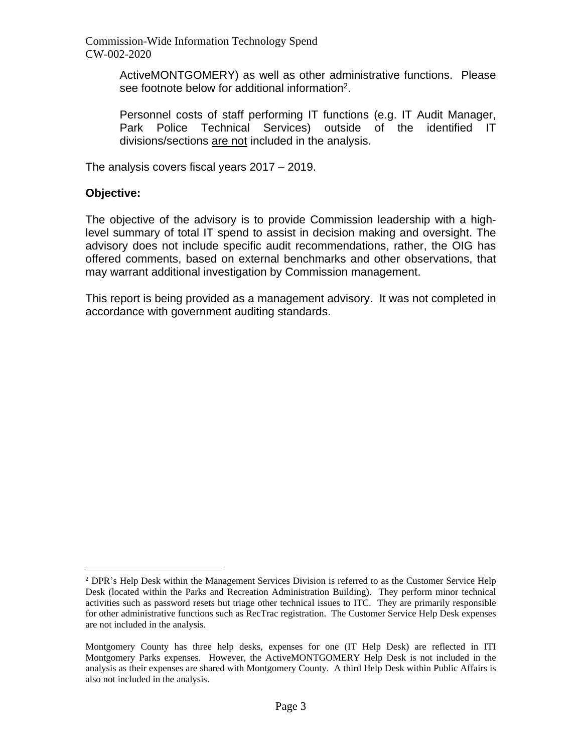ActiveMONTGOMERY) as well as other administrative functions. Please see footnote below for additional information $2$ .

Personnel costs of staff performing IT functions (e.g. IT Audit Manager, Park Police Technical Services) outside of the identified IT divisions/sections are not included in the analysis.

The analysis covers fiscal years 2017 – 2019.

#### **Objective:**

The objective of the advisory is to provide Commission leadership with a highlevel summary of total IT spend to assist in decision making and oversight. The advisory does not include specific audit recommendations, rather, the OIG has offered comments, based on external benchmarks and other observations, that may warrant additional investigation by Commission management.

This report is being provided as a management advisory. It was not completed in accordance with government auditing standards.

 $2$  DPR's Help Desk within the Management Services Division is referred to as the Customer Service Help Desk (located within the Parks and Recreation Administration Building). They perform minor technical activities such as password resets but triage other technical issues to ITC. They are primarily responsible for other administrative functions such as RecTrac registration. The Customer Service Help Desk expenses are not included in the analysis.

Montgomery County has three help desks, expenses for one (IT Help Desk) are reflected in ITI Montgomery Parks expenses. However, the ActiveMONTGOMERY Help Desk is not included in the analysis as their expenses are shared with Montgomery County. A third Help Desk within Public Affairs is also not included in the analysis.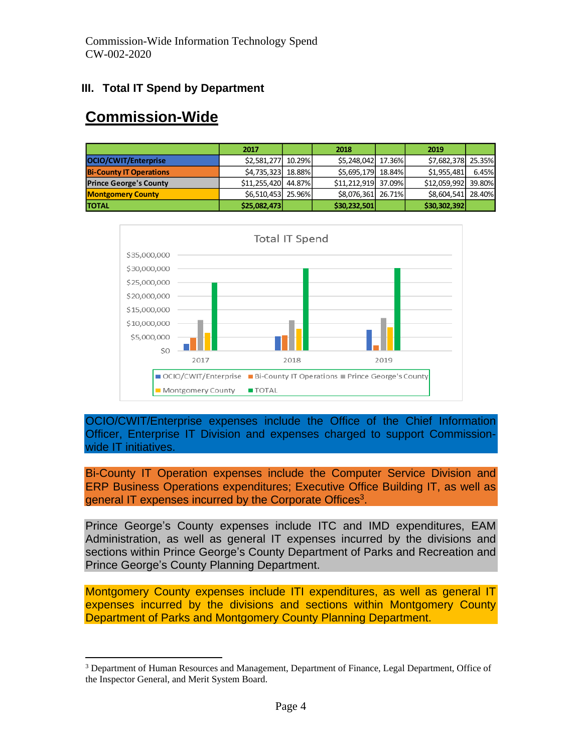## **III. Total IT Spend by Department**

# **Commission-Wide**

|                                | 2017                | 2018                | 2019                |       |
|--------------------------------|---------------------|---------------------|---------------------|-------|
| OCIO/CWIT/Enterprise           | \$2,581,277 10.29%  | \$5,248,042 17.36%  | \$7,682,378 25.35%  |       |
| <b>Bi-County IT Operations</b> | \$4,735,323 18.88%  | \$5,695,179 18.84%  | \$1,955,481         | 6.45% |
| <b>Prince George's County</b>  | \$11,255,420 44.87% | \$11.212.919 37.09% | \$12,059,992 39.80% |       |
| <b>Montgomery County</b>       | \$6,510,453 25.96%  | \$8,076,361 26.71%  | \$8,604,541 28.40%  |       |
| <b>TOTAL</b>                   | \$25,082,473        | \$30,232,501        | \$30,302,392        |       |



OCIO/CWIT/Enterprise expenses include the Office of the Chief Information Officer, Enterprise IT Division and expenses charged to support Commissionwide IT initiatives.

Bi-County IT Operation expenses include the Computer Service Division and ERP Business Operations expenditures; Executive Office Building IT, as well as general IT expenses incurred by the Corporate Offices<sup>3</sup>.

Prince George's County expenses include ITC and IMD expenditures, EAM Administration, as well as general IT expenses incurred by the divisions and sections within Prince George's County Department of Parks and Recreation and Prince George's County Planning Department.

Montgomery County expenses include ITI expenditures, as well as general IT expenses incurred by the divisions and sections within Montgomery County Department of Parks and Montgomery County Planning Department.

<sup>&</sup>lt;sup>3</sup> Department of Human Resources and Management, Department of Finance, Legal Department, Office of the Inspector General, and Merit System Board.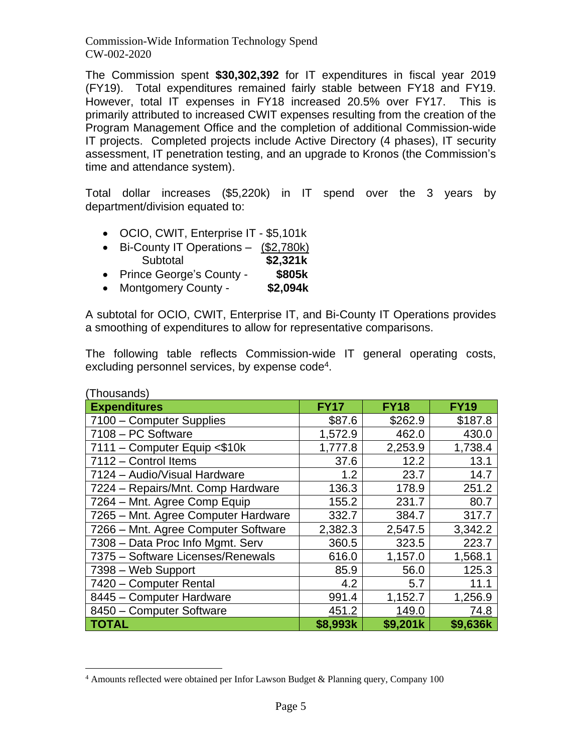The Commission spent **\$30,302,392** for IT expenditures in fiscal year 2019 (FY19). Total expenditures remained fairly stable between FY18 and FY19. However, total IT expenses in FY18 increased 20.5% over FY17. This is primarily attributed to increased CWIT expenses resulting from the creation of the Program Management Office and the completion of additional Commission-wide IT projects. Completed projects include Active Directory (4 phases), IT security assessment, IT penetration testing, and an upgrade to Kronos (the Commission's time and attendance system).

Total dollar increases (\$5,220k) in IT spend over the 3 years by department/division equated to:

- OCIO, CWIT, Enterprise IT \$5,101k
- Bi-County IT Operations (\$2,780k) Subtotal **\$2,321k**
- Prince George's County **\$805k**
- Montgomery County **\$2,094k**

A subtotal for OCIO, CWIT, Enterprise IT, and Bi-County IT Operations provides a smoothing of expenditures to allow for representative comparisons.

The following table reflects Commission-wide IT general operating costs, excluding personnel services, by expense code<sup>4</sup>.

| (Thousands)                         |             |             |             |
|-------------------------------------|-------------|-------------|-------------|
| <b>Expenditures</b>                 | <b>FY17</b> | <b>FY18</b> | <b>FY19</b> |
| 7100 - Computer Supplies            | \$87.6      | \$262.9     | \$187.8     |
| 7108 - PC Software                  | 1,572.9     | 462.0       | 430.0       |
| 7111 - Computer Equip <\$10k        | 1,777.8     | 2,253.9     | 1,738.4     |
| 7112 - Control Items                | 37.6        | 12.2        | 13.1        |
| 7124 - Audio/Visual Hardware        | 1.2         | 23.7        | 14.7        |
| 7224 - Repairs/Mnt. Comp Hardware   | 136.3       | 178.9       | 251.2       |
| 7264 - Mnt. Agree Comp Equip        | 155.2       | 231.7       | 80.7        |
| 7265 - Mnt. Agree Computer Hardware | 332.7       | 384.7       | 317.7       |
| 7266 - Mnt. Agree Computer Software | 2,382.3     | 2,547.5     | 3,342.2     |
| 7308 - Data Proc Info Mgmt. Serv    | 360.5       | 323.5       | 223.7       |
| 7375 - Software Licenses/Renewals   | 616.0       | 1,157.0     | 1,568.1     |
| 7398 - Web Support                  | 85.9        | 56.0        | 125.3       |
| 7420 - Computer Rental              | 4.2         | 5.7         | 11.1        |
| 8445 - Computer Hardware            | 991.4       | 1,152.7     | 1,256.9     |
| 8450 - Computer Software            | 451.2       | 149.0       | 74.8        |
| <b>TOTAL</b>                        | \$8,993k    | \$9,201k    | \$9,636k    |

<sup>&</sup>lt;sup>4</sup> Amounts reflected were obtained per Infor Lawson Budget & Planning query, Company 100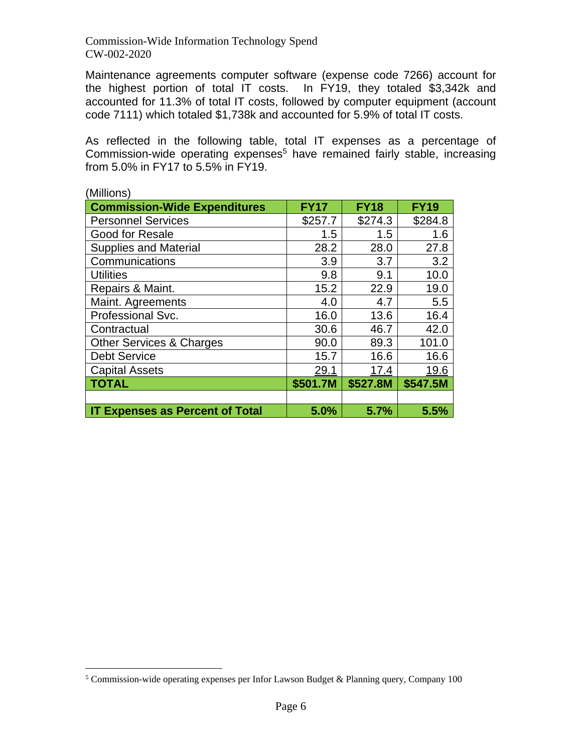Maintenance agreements computer software (expense code 7266) account for the highest portion of total IT costs. In FY19, they totaled \$3,342k and accounted for 11.3% of total IT costs, followed by computer equipment (account code 7111) which totaled \$1,738k and accounted for 5.9% of total IT costs.

As reflected in the following table, total IT expenses as a percentage of Commission-wide operating expenses<sup>5</sup> have remained fairly stable, increasing from 5.0% in FY17 to 5.5% in FY19.

| (MIIIIONS)                             |             |             |             |
|----------------------------------------|-------------|-------------|-------------|
| <b>Commission-Wide Expenditures</b>    | <b>FY17</b> | <b>FY18</b> | <b>FY19</b> |
| <b>Personnel Services</b>              | \$257.7     | \$274.3     | \$284.8     |
| <b>Good for Resale</b>                 | 1.5         | 1.5         | 1.6         |
| <b>Supplies and Material</b>           | 28.2        | 28.0        | 27.8        |
| Communications                         | 3.9         | 3.7         | 3.2         |
| <b>Utilities</b>                       | 9.8         | 9.1         | 10.0        |
| Repairs & Maint.                       | 15.2        | 22.9        | 19.0        |
| Maint. Agreements                      | 4.0         | 4.7         | 5.5         |
| Professional Svc.                      | 16.0        | 13.6        | 16.4        |
| Contractual                            | 30.6        | 46.7        | 42.0        |
| <b>Other Services &amp; Charges</b>    | 90.0        | 89.3        | 101.0       |
| <b>Debt Service</b>                    | 15.7        | 16.6        | 16.6        |
| <b>Capital Assets</b>                  | 29.1        | 17.4        | 19.6        |
| <b>TOTAL</b>                           | \$501.7M    | \$527.8M    | \$547.5M    |
|                                        |             |             |             |
| <b>IT Expenses as Percent of Total</b> | 5.0%        | 5.7%        | 5.5%        |

 $(M)$ : $\mathbb{R}$ 

<sup>5</sup> Commission-wide operating expenses per Infor Lawson Budget & Planning query, Company 100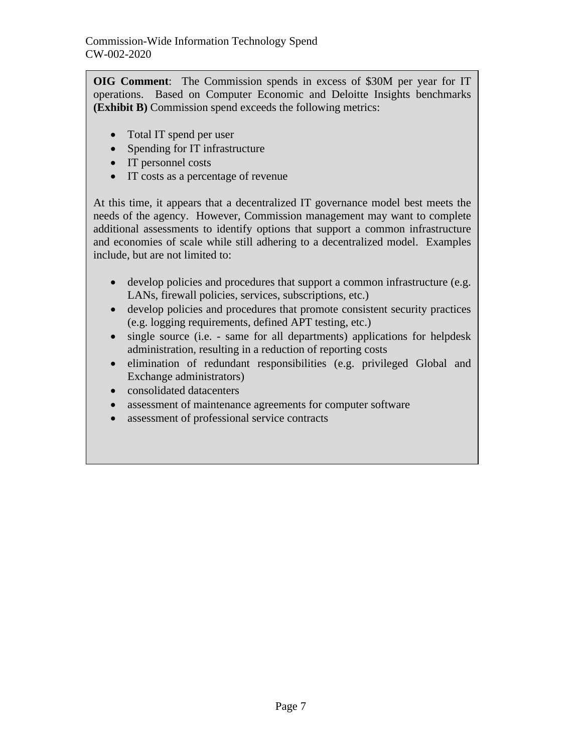**OIG Comment**: The Commission spends in excess of \$30M per year for IT operations. Based on Computer Economic and Deloitte Insights benchmarks **(Exhibit B)** Commission spend exceeds the following metrics:

- Total IT spend per user
- Spending for IT infrastructure
- IT personnel costs
- IT costs as a percentage of revenue

At this time, it appears that a decentralized IT governance model best meets the needs of the agency. However, Commission management may want to complete additional assessments to identify options that support a common infrastructure and economies of scale while still adhering to a decentralized model. Examples include, but are not limited to:

- develop policies and procedures that support a common infrastructure (e.g. LANs, firewall policies, services, subscriptions, etc.)
- develop policies and procedures that promote consistent security practices (e.g. logging requirements, defined APT testing, etc.)
- single source (i.e. same for all departments) applications for helpdesk administration, resulting in a reduction of reporting costs
- elimination of redundant responsibilities (e.g. privileged Global and Exchange administrators)
- consolidated datacenters
- assessment of maintenance agreements for computer software
- assessment of professional service contracts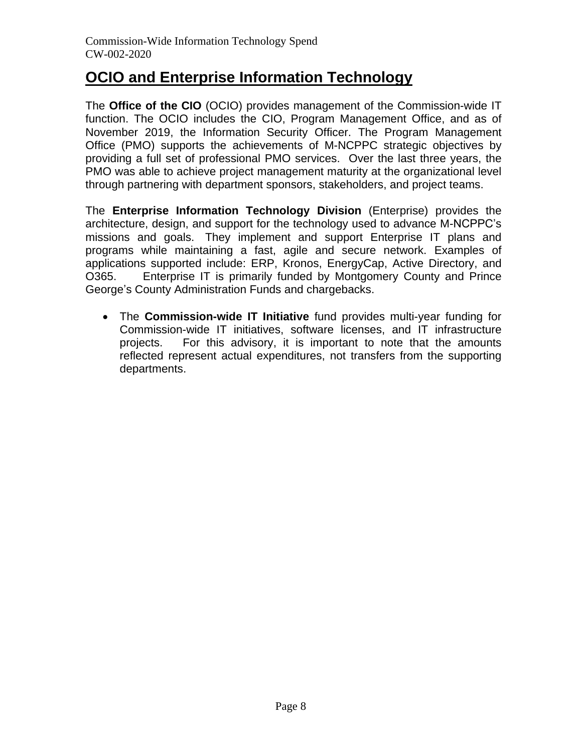## **OCIO and Enterprise Information Technology**

The **Office of the CIO** (OCIO) provides management of the Commission-wide IT function. The OCIO includes the CIO, Program Management Office, and as of November 2019, the Information Security Officer. The Program Management Office (PMO) supports the achievements of M-NCPPC strategic objectives by providing a full set of professional PMO services. Over the last three years, the PMO was able to achieve project management maturity at the organizational level through partnering with department sponsors, stakeholders, and project teams.

The **Enterprise Information Technology Division** (Enterprise) provides the architecture, design, and support for the technology used to advance M-NCPPC's missions and goals. They implement and support Enterprise IT plans and programs while maintaining a fast, agile and secure network. Examples of applications supported include: ERP, Kronos, EnergyCap, Active Directory, and O365. Enterprise IT is primarily funded by Montgomery County and Prince George's County Administration Funds and chargebacks.

• The **Commission-wide IT Initiative** fund provides multi-year funding for Commission-wide IT initiatives, software licenses, and IT infrastructure projects. For this advisory, it is important to note that the amounts reflected represent actual expenditures, not transfers from the supporting departments.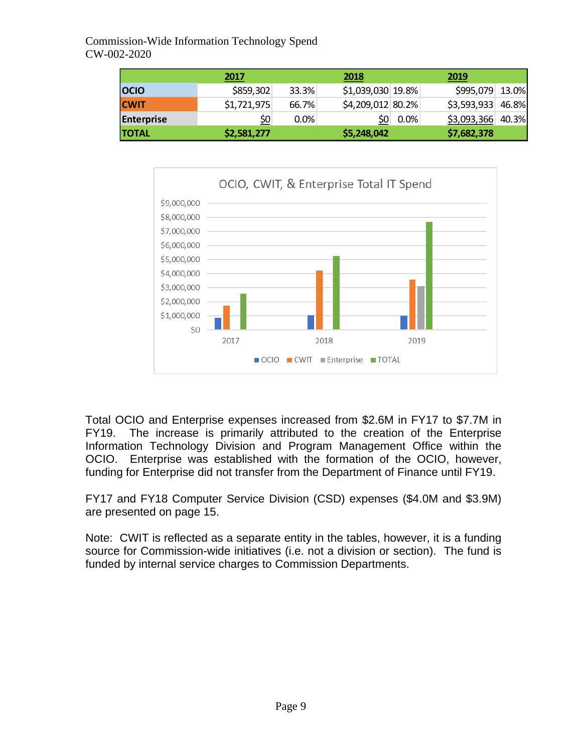|                   | 2017        |       | 2018              |             | 2019               |  |
|-------------------|-------------|-------|-------------------|-------------|--------------------|--|
| <b>OCIO</b>       | \$859,302   | 33.3% | \$1,039,030 19.8% |             | \$995,079 13.0%    |  |
| <b>CWIT</b>       | \$1,721,975 | 66.7% | \$4,209,012 80.2% |             | $$3,593,933$ 46.8% |  |
| <b>Enterprise</b> | \$0         | 0.0%  |                   | $ 50 $ 0.0% | $$3,093,366$ 40.3% |  |
| <b>TOTAL</b>      | \$2,581,277 |       | \$5,248,042       |             | \$7,682,378        |  |



Total OCIO and Enterprise expenses increased from \$2.6M in FY17 to \$7.7M in FY19. The increase is primarily attributed to the creation of the Enterprise Information Technology Division and Program Management Office within the OCIO. Enterprise was established with the formation of the OCIO, however, funding for Enterprise did not transfer from the Department of Finance until FY19.

FY17 and FY18 Computer Service Division (CSD) expenses (\$4.0M and \$3.9M) are presented on page 15.

Note: CWIT is reflected as a separate entity in the tables, however, it is a funding source for Commission-wide initiatives (i.e. not a division or section). The fund is funded by internal service charges to Commission Departments.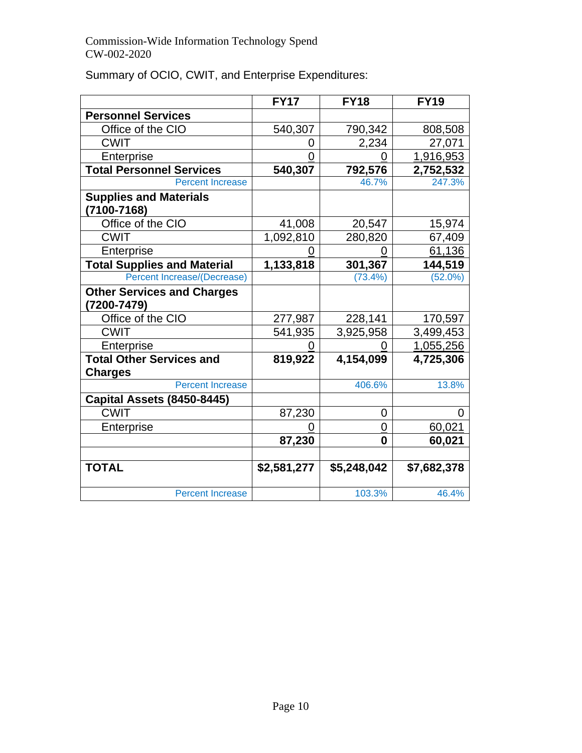|                                    | <b>FY17</b> | <b>FY18</b> | <b>FY19</b> |
|------------------------------------|-------------|-------------|-------------|
| <b>Personnel Services</b>          |             |             |             |
| Office of the CIO                  | 540,307     | 790,342     | 808,508     |
| <b>CWIT</b>                        | O)          | 2,234       | 27,071      |
| Enterprise                         | 0           |             | 1,916,953   |
| <b>Total Personnel Services</b>    | 540,307     | 792,576     | 2,752,532   |
| <b>Percent Increase</b>            |             | 46.7%       | 247.3%      |
| <b>Supplies and Materials</b>      |             |             |             |
| $(7100 - 7168)$                    |             |             |             |
| Office of the CIO                  | 41,008      | 20,547      | 15,974      |
| <b>CWIT</b>                        | 1,092,810   | 280,820     | 67,409      |
| Enterprise                         |             |             | 61,136      |
| <b>Total Supplies and Material</b> | 1,133,818   | 301,367     | 144,519     |
| <b>Percent Increase/(Decrease)</b> |             | $(73.4\%)$  | $(52.0\%)$  |
| <b>Other Services and Charges</b>  |             |             |             |
| (7200-7479)                        |             |             |             |
| Office of the CIO                  | 277,987     | 228,141     | 170,597     |
| <b>CWIT</b>                        | 541,935     | 3,925,958   | 3,499,453   |
| Enterprise                         |             |             | 1,055,256   |
| <b>Total Other Services and</b>    | 819,922     | 4,154,099   | 4,725,306   |
| <b>Charges</b>                     |             |             |             |
| <b>Percent Increase</b>            |             | 406.6%      | 13.8%       |
| Capital Assets (8450-8445)         |             |             |             |
| <b>CWIT</b>                        | 87,230      | 0           | 0           |
| Enterprise                         |             | 0           | 60,021      |
|                                    | 87,230      | 0           | 60,021      |
| <b>TOTAL</b>                       | \$2,581,277 | \$5,248,042 | \$7,682,378 |
| <b>Percent Increase</b>            |             | 103.3%      | 46.4%       |

Summary of OCIO, CWIT, and Enterprise Expenditures: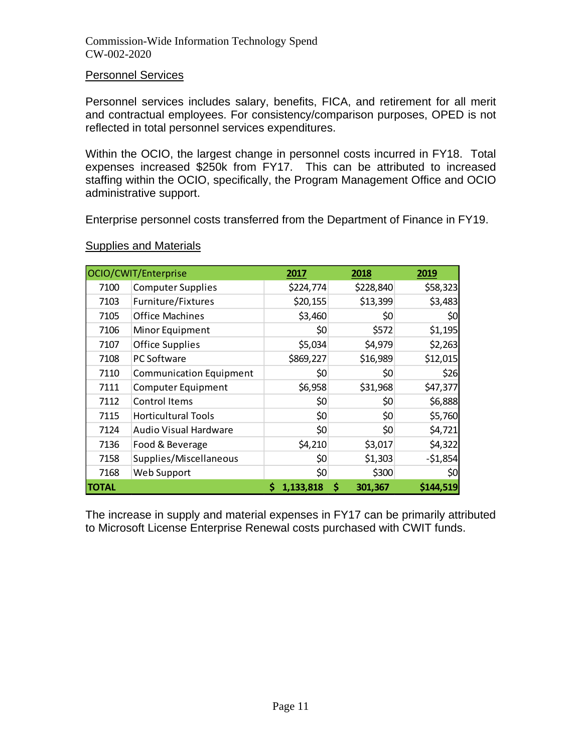#### Personnel Services

Personnel services includes salary, benefits, FICA, and retirement for all merit and contractual employees. For consistency/comparison purposes, OPED is not reflected in total personnel services expenditures.

Within the OCIO, the largest change in personnel costs incurred in FY18. Total expenses increased \$250k from FY17. This can be attributed to increased staffing within the OCIO, specifically, the Program Management Office and OCIO administrative support.

Enterprise personnel costs transferred from the Department of Finance in FY19.

|              | OCIO/CWIT/Enterprise           | 2017      | 2018          | 2019      |
|--------------|--------------------------------|-----------|---------------|-----------|
| 7100         | <b>Computer Supplies</b>       | \$224,774 | \$228,840     | \$58,323  |
| 7103         | Furniture/Fixtures             | \$20,155  | \$13,399      | \$3,483   |
| 7105         | <b>Office Machines</b>         | \$3,460   | \$0           | \$0       |
| 7106         | Minor Equipment                | \$0       | \$572         | \$1,195   |
| 7107         | <b>Office Supplies</b>         | \$5,034   | \$4,979       | \$2,263   |
| 7108         | PC Software                    | \$869,227 | \$16,989      | \$12,015  |
| 7110         | <b>Communication Equipment</b> | \$0       | \$0           | \$26      |
| 7111         | <b>Computer Equipment</b>      | \$6,958   | \$31,968      | \$47,377  |
| 7112         | Control Items                  | \$0       | \$0           | \$6,888   |
| 7115         | <b>Horticultural Tools</b>     | \$0       | \$0           | \$5,760   |
| 7124         | <b>Audio Visual Hardware</b>   | \$0       | \$0           | \$4,721   |
| 7136         | Food & Beverage                | \$4,210   | \$3,017       | \$4,322   |
| 7158         | Supplies/Miscellaneous         | \$0       | \$1,303       | $-51,854$ |
| 7168         | Web Support                    | \$0       | \$300         | \$0       |
| <b>TOTAL</b> |                                | 1,133,818 | \$<br>301,367 | \$144,519 |

## Supplies and Materials

The increase in supply and material expenses in FY17 can be primarily attributed to Microsoft License Enterprise Renewal costs purchased with CWIT funds.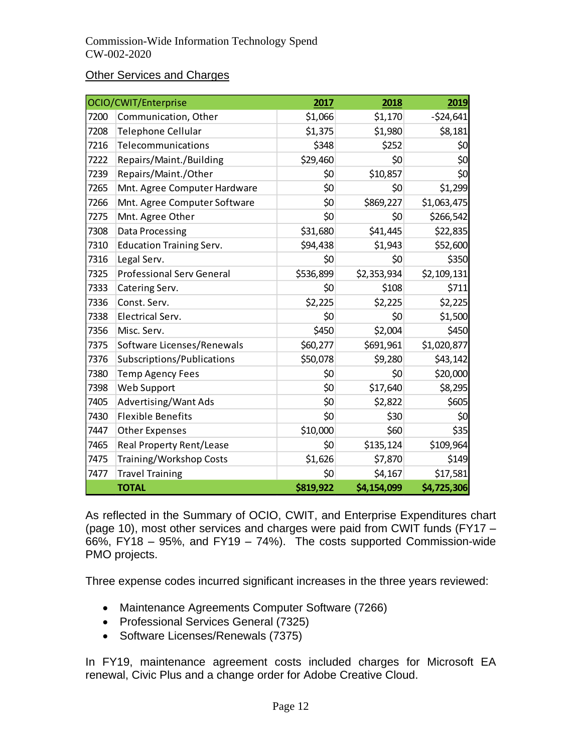#### **Other Services and Charges**

|      | OCIO/CWIT/Enterprise             | 2017      | 2018        | 2019        |
|------|----------------------------------|-----------|-------------|-------------|
| 7200 | Communication, Other             | \$1,066   | \$1,170     | $-524,641$  |
| 7208 | <b>Telephone Cellular</b>        | \$1,375   | \$1,980     | \$8,181     |
| 7216 | Telecommunications               | \$348     | \$252       | \$0         |
| 7222 | Repairs/Maint./Building          | \$29,460  | \$0         | \$0         |
| 7239 | Repairs/Maint./Other             | \$0       | \$10,857    | \$0         |
| 7265 | Mnt. Agree Computer Hardware     | \$0       | \$0         | \$1,299     |
| 7266 | Mnt. Agree Computer Software     | \$0       | \$869,227   | \$1,063,475 |
| 7275 | Mnt. Agree Other                 | \$0       | \$0         | \$266,542   |
| 7308 | Data Processing                  | \$31,680  | \$41,445    | \$22,835    |
| 7310 | <b>Education Training Serv.</b>  | \$94,438  | \$1,943     | \$52,600    |
| 7316 | Legal Serv.                      | \$0       | \$0         | \$350       |
| 7325 | <b>Professional Serv General</b> | \$536,899 | \$2,353,934 | \$2,109,131 |
| 7333 | Catering Serv.                   | \$0       | \$108       | \$711       |
| 7336 | Const. Serv.                     | \$2,225   | \$2,225     | \$2,225     |
| 7338 | Electrical Serv.                 | \$0       | \$0         | \$1,500     |
| 7356 | Misc. Serv.                      | \$450     | \$2,004     | \$450       |
| 7375 | Software Licenses/Renewals       | \$60,277  | \$691,961   | \$1,020,877 |
| 7376 | Subscriptions/Publications       | \$50,078  | \$9,280     | \$43,142    |
| 7380 | <b>Temp Agency Fees</b>          | \$0       | \$0         | \$20,000    |
| 7398 | Web Support                      | \$0       | \$17,640    | \$8,295     |
| 7405 | Advertising/Want Ads             | \$0       | \$2,822     | \$605       |
| 7430 | <b>Flexible Benefits</b>         | \$0       | \$30        | \$0         |
| 7447 | <b>Other Expenses</b>            | \$10,000  | \$60        | \$35        |
| 7465 | Real Property Rent/Lease         | \$0       | \$135,124   | \$109,964   |
| 7475 | Training/Workshop Costs          | \$1,626   | \$7,870     | \$149       |
| 7477 | <b>Travel Training</b>           | \$0       | \$4,167     | \$17,581    |
|      | <b>TOTAL</b>                     | \$819,922 | \$4,154,099 | \$4,725,306 |

As reflected in the Summary of OCIO, CWIT, and Enterprise Expenditures chart (page 10), most other services and charges were paid from CWIT funds (FY17 – 66%, FY18 – 95%, and FY19 – 74%). The costs supported Commission-wide PMO projects.

Three expense codes incurred significant increases in the three years reviewed:

- Maintenance Agreements Computer Software (7266)
- Professional Services General (7325)
- Software Licenses/Renewals (7375)

In FY19, maintenance agreement costs included charges for Microsoft EA renewal, Civic Plus and a change order for Adobe Creative Cloud.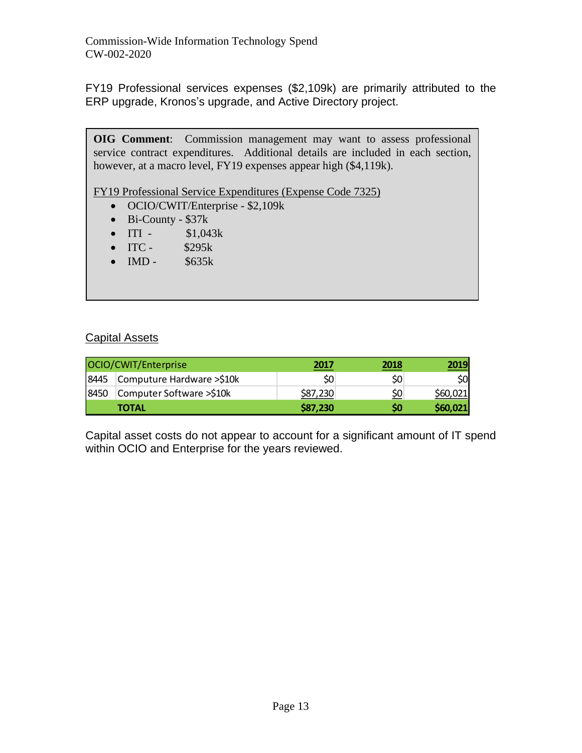FY19 Professional services expenses (\$2,109k) are primarily attributed to the ERP upgrade, Kronos's upgrade, and Active Directory project.

**OIG Comment**: Commission management may want to assess professional service contract expenditures. Additional details are included in each section, however, at a macro level, FY19 expenses appear high (\$4,119k).

FY19 Professional Service Expenditures (Expense Code 7325)

- OCIO/CWIT/Enterprise \$2,109k
- Bi-County \$37k
- ITI  $$1,043k$
- ITC  $$295k$
- IMD \$635k

#### Capital Assets

|       | OCIO/CWIT/Enterprise      | 2017     | 2018 |          |
|-------|---------------------------|----------|------|----------|
| 18445 | Computure Hardware >\$10k | -SO      | \$C  | \$OI     |
| 8450  | Computer Software >\$10k  | \$87,230 | \$0  | \$60,021 |
|       | <b>TOTAL</b>              | \$87,230 | \$0  | \$60,021 |

Capital asset costs do not appear to account for a significant amount of IT spend within OCIO and Enterprise for the years reviewed.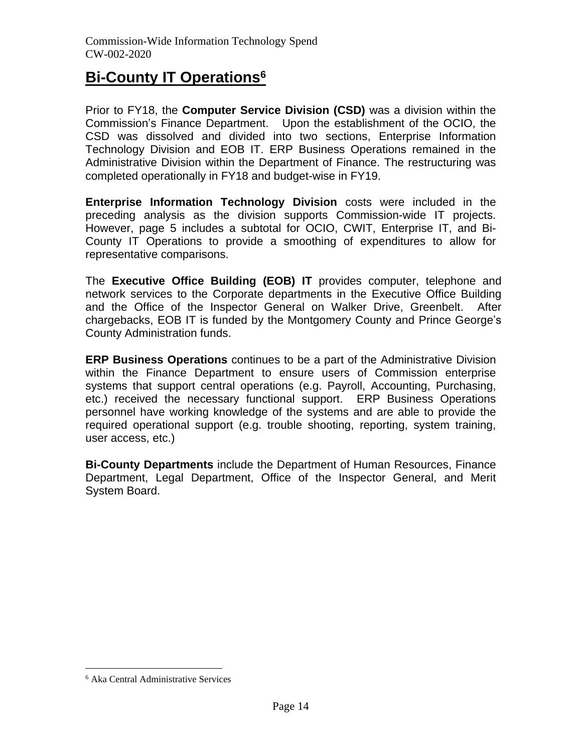## **Bi-County IT Operations<sup>6</sup>**

Prior to FY18, the **Computer Service Division (CSD)** was a division within the Commission's Finance Department. Upon the establishment of the OCIO, the CSD was dissolved and divided into two sections, Enterprise Information Technology Division and EOB IT. ERP Business Operations remained in the Administrative Division within the Department of Finance. The restructuring was completed operationally in FY18 and budget-wise in FY19.

**Enterprise Information Technology Division** costs were included in the preceding analysis as the division supports Commission-wide IT projects. However, page 5 includes a subtotal for OCIO, CWIT, Enterprise IT, and Bi-County IT Operations to provide a smoothing of expenditures to allow for representative comparisons.

The **Executive Office Building (EOB) IT** provides computer, telephone and network services to the Corporate departments in the Executive Office Building and the Office of the Inspector General on Walker Drive, Greenbelt. After chargebacks, EOB IT is funded by the Montgomery County and Prince George's County Administration funds.

**ERP Business Operations** continues to be a part of the Administrative Division within the Finance Department to ensure users of Commission enterprise systems that support central operations (e.g. Payroll, Accounting, Purchasing, etc.) received the necessary functional support. ERP Business Operations personnel have working knowledge of the systems and are able to provide the required operational support (e.g. trouble shooting, reporting, system training, user access, etc.)

**Bi-County Departments** include the Department of Human Resources, Finance Department, Legal Department, Office of the Inspector General, and Merit System Board.

<sup>6</sup> Aka Central Administrative Services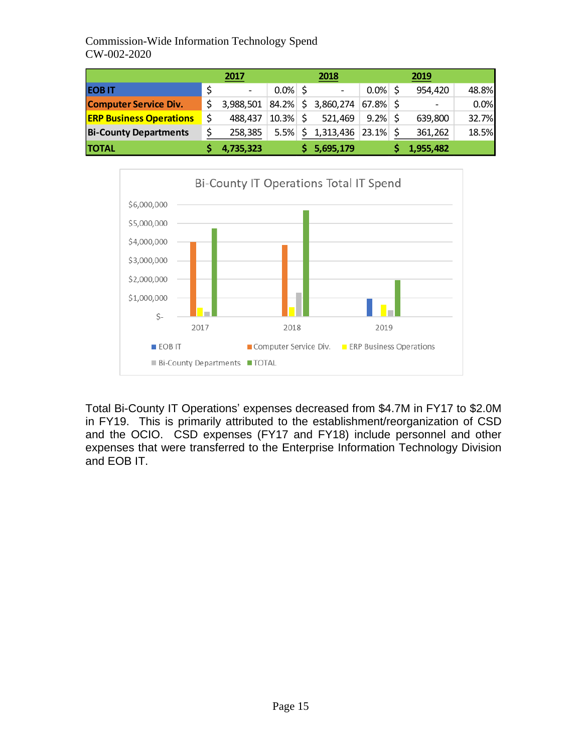|                                | 2017                     |            |     | 2018                     |             | 2019      |       |
|--------------------------------|--------------------------|------------|-----|--------------------------|-------------|-----------|-------|
| <b>EOBIT</b>                   | $\overline{\phantom{a}}$ | $0.0\%$ \$ |     | $\overline{\phantom{a}}$ | $0.0\%$ \$  | 954,420   | 48.8% |
| <b>Computer Service Div.</b>   | 3,988,501                | 84.2%      |     | \$3,860,274              | $67.8\%$ \$ |           | 0.0%  |
| <b>ERP Business Operations</b> | 488,437                  | 10.3%      | \$  | 521,469                  | $9.2\%$ \$  | 639,800   | 32.7% |
| <b>Bi-County Departments</b>   | 258,385                  | 5.5%       | \$. | 1,313,436                | $23.1\%$ \$ | 361,262   | 18.5% |
| <b>TOTAL</b>                   | 4,735,323                |            |     | 5,695,179                |             | 1,955,482 |       |



Total Bi-County IT Operations' expenses decreased from \$4.7M in FY17 to \$2.0M in FY19. This is primarily attributed to the establishment/reorganization of CSD and the OCIO. CSD expenses (FY17 and FY18) include personnel and other expenses that were transferred to the Enterprise Information Technology Division and EOB IT.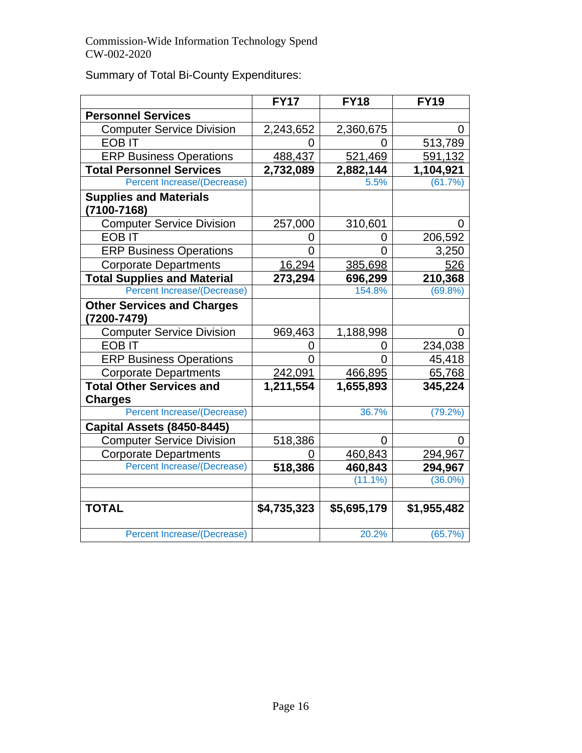Summary of Total Bi-County Expenditures:

|                                    | <b>FY17</b> | <b>FY18</b> | <b>FY19</b> |
|------------------------------------|-------------|-------------|-------------|
| <b>Personnel Services</b>          |             |             |             |
| <b>Computer Service Division</b>   | 2,243,652   | 2,360,675   | 0           |
| <b>EOB IT</b>                      | 0           | O           | 513,789     |
| <b>ERP Business Operations</b>     | 488,437     | 521,469     | 591,132     |
| <b>Total Personnel Services</b>    | 2,732,089   | 2,882,144   | 1,104,921   |
| <b>Percent Increase/(Decrease)</b> |             | 5.5%        | (61.7%)     |
| <b>Supplies and Materials</b>      |             |             |             |
| (7100-7168)                        |             |             |             |
| <b>Computer Service Division</b>   | 257,000     | 310,601     | 0           |
| <b>EOB IT</b>                      | 0           | 0           | 206,592     |
| <b>ERP Business Operations</b>     | Ω           | O           | 3,250       |
| <b>Corporate Departments</b>       | 16,294      | 385,698     | 526         |
| <b>Total Supplies and Material</b> | 273,294     | 696,299     | 210,368     |
| <b>Percent Increase/(Decrease)</b> |             | 154.8%      | $(69.8\%)$  |
| <b>Other Services and Charges</b>  |             |             |             |
| (7200-7479)                        |             |             |             |
| <b>Computer Service Division</b>   | 969,463     | 1,188,998   |             |
| <b>EOB IT</b>                      | O           | O           | 234,038     |
| <b>ERP Business Operations</b>     | 0           |             | 45,418      |
| <b>Corporate Departments</b>       | 242,091     | 466,895     | 65,768      |
| <b>Total Other Services and</b>    | 1,211,554   | 1,655,893   | 345,224     |
| <b>Charges</b>                     |             |             |             |
| <b>Percent Increase/(Decrease)</b> |             | 36.7%       | (79.2%)     |
| Capital Assets (8450-8445)         |             |             |             |
| <b>Computer Service Division</b>   | 518,386     | 0           | 0           |
| <b>Corporate Departments</b>       | O)          | 460,843     | 294,967     |
| <b>Percent Increase/(Decrease)</b> | 518,386     | 460,843     | 294,967     |
|                                    |             | $(11.1\%)$  | $(36.0\%)$  |
|                                    |             |             |             |
| <b>TOTAL</b>                       | \$4,735,323 | \$5,695,179 | \$1,955,482 |
|                                    |             |             |             |
| Percent Increase/(Decrease)        |             | 20.2%       | (65.7%)     |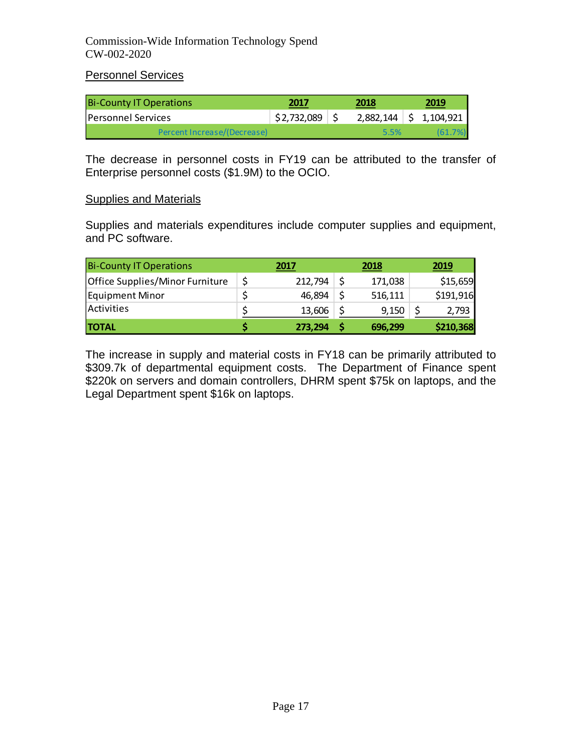Personnel Services

| <b>Bi-County IT Operations</b> | 2017             | 2018 | 2019                     |
|--------------------------------|------------------|------|--------------------------|
| <b>IPersonnel Services</b>     | $$2,732,089$ $$$ |      | $2,882,144$ \$ 1,104,921 |
| Percent Increase/(Decrease)    |                  | 5.5% | (61.7%)                  |

The decrease in personnel costs in FY19 can be attributed to the transfer of Enterprise personnel costs (\$1.9M) to the OCIO.

#### Supplies and Materials

Supplies and materials expenditures include computer supplies and equipment, and PC software.

| <b>Bi-County IT Operations</b>  | 2017    | 2018    | 2019      |
|---------------------------------|---------|---------|-----------|
| Office Supplies/Minor Furniture | 212,794 | 171,038 | \$15,659  |
| Equipment Minor                 | 46,894  | 516,111 | \$191,916 |
| Activities                      | 13,606  | 9,150   | 2,793     |
| <b>ITOTAL</b>                   | 273,294 | 696,299 | \$210,368 |

The increase in supply and material costs in FY18 can be primarily attributed to \$309.7k of departmental equipment costs. The Department of Finance spent \$220k on servers and domain controllers, DHRM spent \$75k on laptops, and the Legal Department spent \$16k on laptops.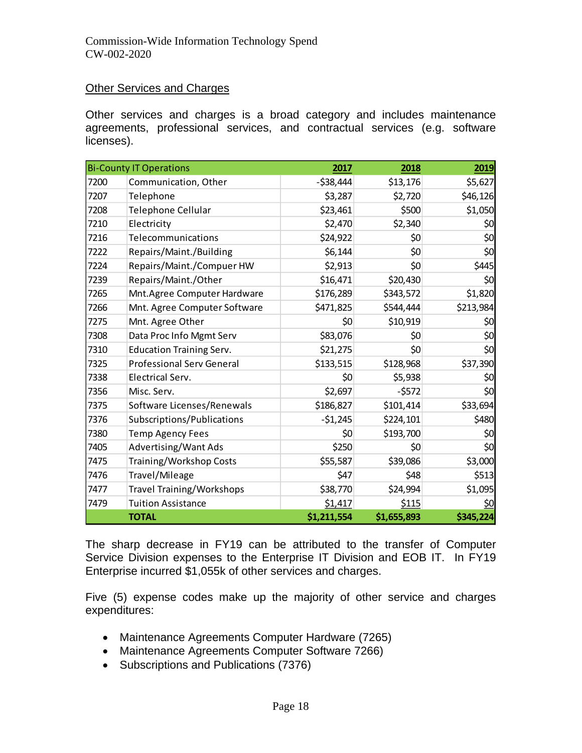#### Other Services and Charges

Other services and charges is a broad category and includes maintenance agreements, professional services, and contractual services (e.g. software licenses).

|      | <b>Bi-County IT Operations</b>   | 2017         | 2018        | 2019      |
|------|----------------------------------|--------------|-------------|-----------|
| 7200 | Communication, Other             | $-$ \$38,444 | \$13,176    | \$5,627   |
| 7207 | Telephone                        | \$3,287      | \$2,720     | \$46,126  |
| 7208 | Telephone Cellular               | \$23,461     | \$500       | \$1,050   |
| 7210 | Electricity                      | \$2,470      | \$2,340     | \$0       |
| 7216 | Telecommunications               | \$24,922     | \$0         | \$0       |
| 7222 | Repairs/Maint./Building          | \$6,144      | \$0         | \$0       |
| 7224 | Repairs/Maint./Compuer HW        | \$2,913      | \$0         | \$445     |
| 7239 | Repairs/Maint./Other             | \$16,471     | \$20,430    | \$0       |
| 7265 | Mnt.Agree Computer Hardware      | \$176,289    | \$343,572   | \$1,820   |
| 7266 | Mnt. Agree Computer Software     | \$471,825    | \$544,444   | \$213,984 |
| 7275 | Mnt. Agree Other                 | \$0          | \$10,919    | \$0       |
| 7308 | Data Proc Info Mgmt Serv         | \$83,076     | \$0         | \$0       |
| 7310 | <b>Education Training Serv.</b>  | \$21,275     | \$0         | \$0       |
| 7325 | <b>Professional Serv General</b> | \$133,515    | \$128,968   | \$37,390  |
| 7338 | Electrical Serv.                 | \$0          | \$5,938     | \$0       |
| 7356 | Misc. Serv.                      | \$2,697      | $-5572$     | \$0       |
| 7375 | Software Licenses/Renewals       | \$186,827    | \$101,414   | \$33,694  |
| 7376 | Subscriptions/Publications       | $-51,245$    | \$224,101   | \$480     |
| 7380 | <b>Temp Agency Fees</b>          | \$0          | \$193,700   | \$0       |
| 7405 | Advertising/Want Ads             | \$250        | \$0         | \$0       |
| 7475 | Training/Workshop Costs          | \$55,587     | \$39,086    | \$3,000   |
| 7476 | Travel/Mileage                   | \$47         | \$48        | \$513     |
| 7477 | <b>Travel Training/Workshops</b> | \$38,770     | \$24,994    | \$1,095   |
| 7479 | <b>Tuition Assistance</b>        | \$1,417      | \$115       | \$0       |
|      | <b>TOTAL</b>                     | \$1,211,554  | \$1,655,893 | \$345,224 |

The sharp decrease in FY19 can be attributed to the transfer of Computer Service Division expenses to the Enterprise IT Division and EOB IT. In FY19 Enterprise incurred \$1,055k of other services and charges.

Five (5) expense codes make up the majority of other service and charges expenditures:

- Maintenance Agreements Computer Hardware (7265)
- Maintenance Agreements Computer Software 7266)
- Subscriptions and Publications (7376)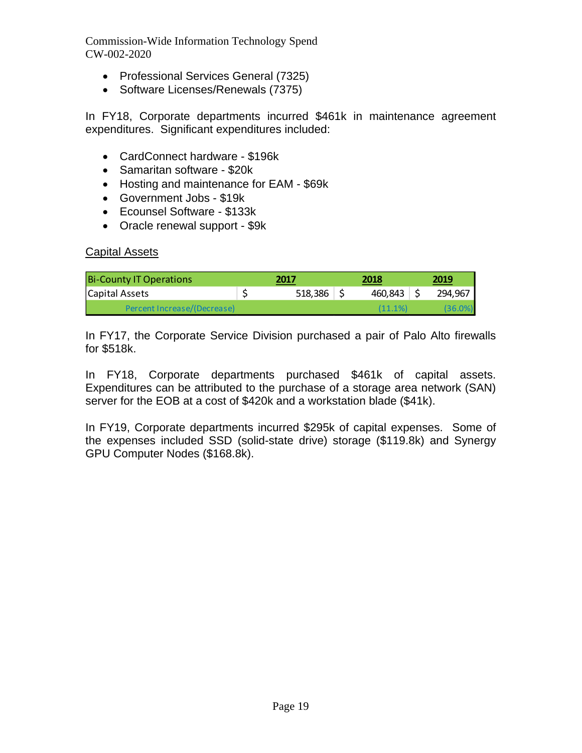- Professional Services General (7325)
- Software Licenses/Renewals (7375)

In FY18, Corporate departments incurred \$461k in maintenance agreement expenditures. Significant expenditures included:

- CardConnect hardware \$196k
- Samaritan software \$20k
- Hosting and maintenance for EAM \$69k
- Government Jobs \$19k
- Ecounsel Software \$133k
- Oracle renewal support \$9k

#### Capital Assets

| <b>Bi-County IT Operations</b> | 2017    | 2018    | 2019       |
|--------------------------------|---------|---------|------------|
| Capital Assets                 | 518,386 | 460,843 | 294,967    |
| Percent Increase/(Decrease)    |         | (11.1%) | $(36.0\%)$ |

In FY17, the Corporate Service Division purchased a pair of Palo Alto firewalls for \$518k.

In FY18, Corporate departments purchased \$461k of capital assets. Expenditures can be attributed to the purchase of a storage area network (SAN) server for the EOB at a cost of \$420k and a workstation blade (\$41k).

In FY19, Corporate departments incurred \$295k of capital expenses. Some of the expenses included SSD (solid-state drive) storage (\$119.8k) and Synergy GPU Computer Nodes (\$168.8k).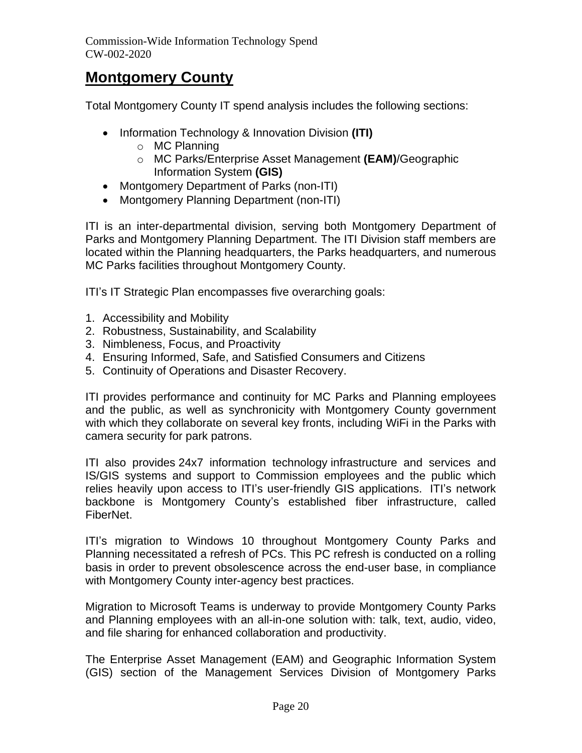## **Montgomery County**

Total Montgomery County IT spend analysis includes the following sections:

- Information Technology & Innovation Division **(ITI)**
	- o MC Planning
	- o MC Parks/Enterprise Asset Management **(EAM)**/Geographic Information System **(GIS)**
- Montgomery Department of Parks (non-ITI)
- Montgomery Planning Department (non-ITI)

ITI is an inter-departmental division, serving both Montgomery Department of Parks and Montgomery Planning Department. The ITI Division staff members are located within the Planning headquarters, the Parks headquarters, and numerous MC Parks facilities throughout Montgomery County.

ITI's IT Strategic Plan encompasses five overarching goals:

- 1. Accessibility and Mobility
- 2. Robustness, Sustainability, and Scalability
- 3. Nimbleness, Focus, and Proactivity
- 4. Ensuring Informed, Safe, and Satisfied Consumers and Citizens
- 5. Continuity of Operations and Disaster Recovery.

ITI provides performance and continuity for MC Parks and Planning employees and the public, as well as synchronicity with Montgomery County government with which they collaborate on several key fronts, including WiFi in the Parks with camera security for park patrons.

ITI also provides 24x7 information technology infrastructure and services and IS/GIS systems and support to Commission employees and the public which relies heavily upon access to ITI's user-friendly GIS applications. ITI's network backbone is Montgomery County's established fiber infrastructure, called FiberNet.

ITI's migration to Windows 10 throughout Montgomery County Parks and Planning necessitated a refresh of PCs. This PC refresh is conducted on a rolling basis in order to prevent obsolescence across the end-user base, in compliance with Montgomery County inter-agency best practices.

Migration to Microsoft Teams is underway to provide Montgomery County Parks and Planning employees with an all-in-one solution with: talk, text, audio, video, and file sharing for enhanced collaboration and productivity.

The Enterprise Asset Management (EAM) and Geographic Information System (GIS) section of the Management Services Division of Montgomery Parks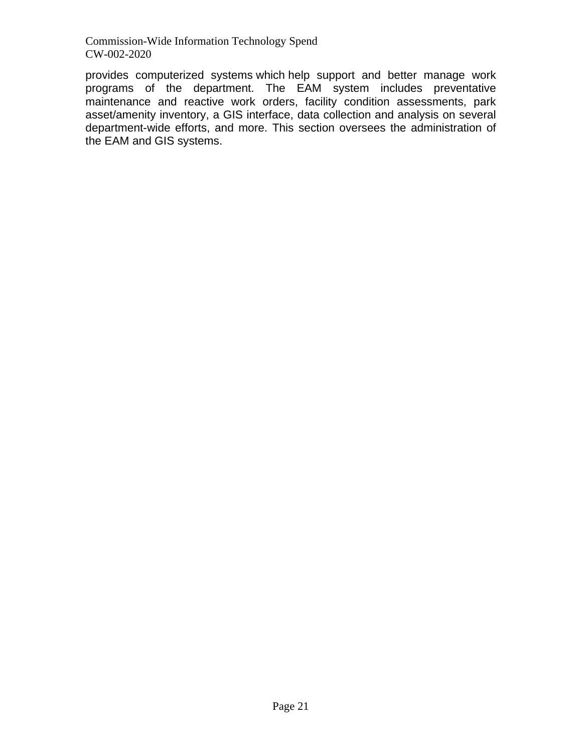provides computerized systems which help support and better manage work programs of the department. The EAM system includes preventative maintenance and reactive work orders, facility condition assessments, park asset/amenity inventory, a GIS interface, data collection and analysis on several department-wide efforts, and more. This section oversees the administration of the EAM and GIS systems.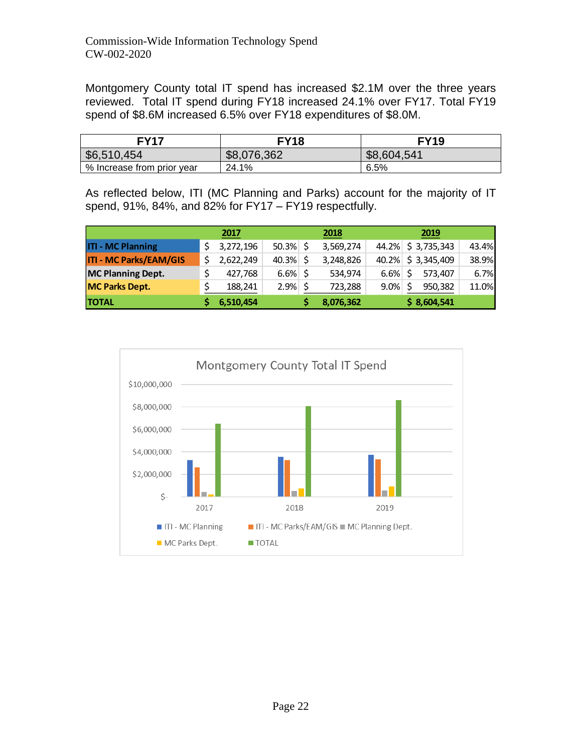Montgomery County total IT spend has increased \$2.1M over the three years reviewed. Total IT spend during FY18 increased 24.1% over FY17. Total FY19 spend of \$8.6M increased 6.5% over FY18 expenditures of \$8.0M.

| FY17                       | <b>FY18</b> | <b>FY19</b> |  |  |
|----------------------------|-------------|-------------|--|--|
| \$6,510,454                | \$8,076,362 | \$8,604,541 |  |  |
| % Increase from prior year | 24.1%       | 6.5%        |  |  |

As reflected below, ITI (MC Planning and Parks) account for the majority of IT spend, 91%, 84%, and 82% for FY17 – FY19 respectfully.

|                               | 2017      |       |               | 2018      |         | 2019              |       |
|-------------------------------|-----------|-------|---------------|-----------|---------|-------------------|-------|
| <b>ITI - MC Planning</b>      | 3,272,196 | 50.3% |               | 3,569,274 |         | 44.2% \$3,735,343 | 43.4% |
| <b>ITI - MC Parks/EAM/GIS</b> | 2,622,249 | 40.3% |               | 3,248,826 |         | 40.2% \$3,345,409 | 38.9% |
| <b>MC Planning Dept.</b>      | 427,768   | 6.6%  |               | 534,974   | 6.6%    | 573,407           | 6.7%  |
| <b>MC Parks Dept.</b>         | 188,241   | 2.9%  | <sup>\$</sup> | 723,288   | $9.0\%$ | 950,382           | 11.0% |
| <b>TOTAL</b>                  | 6,510,454 |       |               | 8,076,362 |         | \$8,604,541       |       |

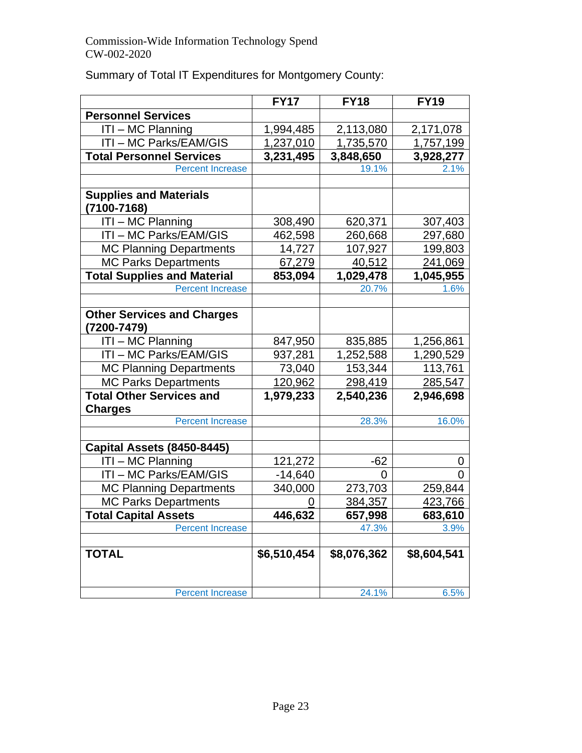|                                                 | <b>FY17</b> | <b>FY18</b> | <b>FY19</b> |
|-------------------------------------------------|-------------|-------------|-------------|
| <b>Personnel Services</b>                       |             |             |             |
| ITI - MC Planning                               | 1,994,485   | 2,113,080   | 2,171,078   |
| ITI - MC Parks/EAM/GIS                          | 1,237,010   | 1,735,570   | 1,757,199   |
| <b>Total Personnel Services</b>                 | 3,231,495   | 3,848,650   | 3,928,277   |
| <b>Percent Increase</b>                         |             | 19.1%       | 2.1%        |
|                                                 |             |             |             |
| <b>Supplies and Materials</b>                   |             |             |             |
| (7100-7168)                                     |             |             |             |
| ITI-MC Planning                                 | 308,490     | 620,371     | 307,403     |
| ITI-MC Parks/EAM/GIS                            | 462,598     | 260,668     | 297,680     |
| <b>MC Planning Departments</b>                  | 14,727      | 107,927     | 199,803     |
| <b>MC Parks Departments</b>                     | 67,279      | 40,512      | 241,069     |
| <b>Total Supplies and Material</b>              | 853,094     | 1,029,478   | 1,045,955   |
| <b>Percent Increase</b>                         |             | 20.7%       | 1.6%        |
|                                                 |             |             |             |
| <b>Other Services and Charges</b><br>7200-7479) |             |             |             |
| ITI-MC Planning                                 | 847,950     | 835,885     | 1,256,861   |
| ITI - MC Parks/EAM/GIS                          | 937,281     | 1,252,588   | 1,290,529   |
| <b>MC Planning Departments</b>                  | 73,040      | 153,344     | 113,761     |
| <b>MC Parks Departments</b>                     | 120,962     | 298,419     | 285,547     |
| <b>Total Other Services and</b>                 | 1,979,233   | 2,540,236   | 2,946,698   |
| <b>Charges</b>                                  |             |             |             |
| <b>Percent Increase</b>                         |             | 28.3%       | 16.0%       |
|                                                 |             |             |             |
| Capital Assets (8450-8445)                      |             |             |             |
| ITI-MC Planning                                 | 121,272     | $-62$       | 0           |
| ITI-MC Parks/EAM/GIS                            | $-14,640$   | 0           | $\Omega$    |
| <b>MC Planning Departments</b>                  | 340,000     | 273,703     | 259,844     |
| <b>MC Parks Departments</b>                     | 0           | 384,357     | 423,766     |
| <b>Total Capital Assets</b>                     | 446,632     | 657,998     | 683,610     |
| <b>Percent Increase</b>                         |             | 47.3%       | 3.9%        |
|                                                 |             |             |             |
| <b>TOTAL</b>                                    | \$6,510,454 | \$8,076,362 | \$8,604,541 |
|                                                 |             |             |             |
| <b>Percent Increase</b>                         |             | 24.1%       | 6.5%        |

## Summary of Total IT Expenditures for Montgomery County: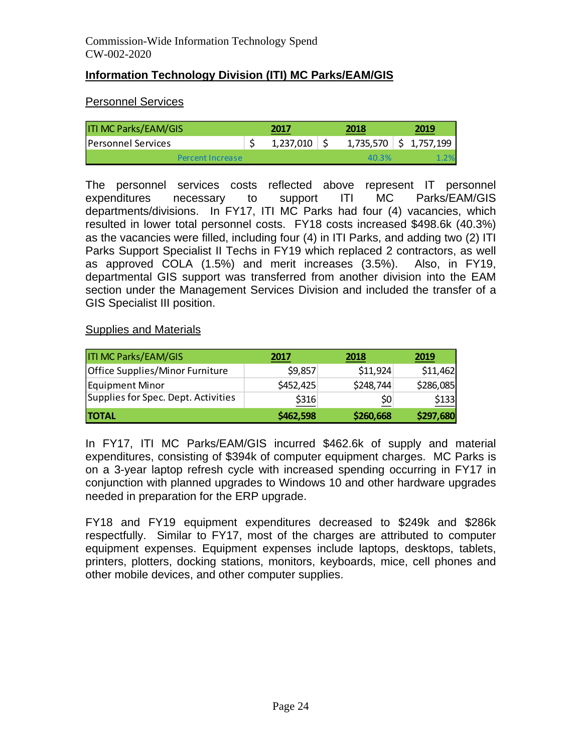## **Information Technology Division (ITI) MC Parks/EAM/GIS**

## Personnel Services

| <b>ITI MC Parks/EAM/GIS</b> | 2017      | 2018  | 2019                                 |
|-----------------------------|-----------|-------|--------------------------------------|
| <b>Personnel Services</b>   | 1,237,010 |       | $1,735,570$ $\binom{2}{5}$ 1,757,199 |
| Percent Increase            |           | 40.3% |                                      |

The personnel services costs reflected above represent IT personnel expenditures necessary to support ITI MC Parks/EAM/GIS departments/divisions. In FY17, ITI MC Parks had four (4) vacancies, which resulted in lower total personnel costs. FY18 costs increased \$498.6k (40.3%) as the vacancies were filled, including four (4) in ITI Parks, and adding two (2) ITI Parks Support Specialist II Techs in FY19 which replaced 2 contractors, as well as approved COLA (1.5%) and merit increases (3.5%). Also, in FY19, departmental GIS support was transferred from another division into the EAM section under the Management Services Division and included the transfer of a GIS Specialist III position.

### Supplies and Materials

| <b>ITI MC Parks/EAM/GIS</b>         | 2017      | 2018      | 2019      |
|-------------------------------------|-----------|-----------|-----------|
| Office Supplies/Minor Furniture     | \$9,857   | \$11,924  | \$11,462  |
| Equipment Minor                     | \$452,425 | \$248,744 | \$286,085 |
| Supplies for Spec. Dept. Activities | \$316     | \$0       | \$133     |
| <b>TOTAL</b>                        | \$462,598 | \$260,668 | \$297,680 |

In FY17, ITI MC Parks/EAM/GIS incurred \$462.6k of supply and material expenditures, consisting of \$394k of computer equipment charges. MC Parks is on a 3-year laptop refresh cycle with increased spending occurring in FY17 in conjunction with planned upgrades to Windows 10 and other hardware upgrades needed in preparation for the ERP upgrade.

FY18 and FY19 equipment expenditures decreased to \$249k and \$286k respectfully. Similar to FY17, most of the charges are attributed to computer equipment expenses. Equipment expenses include laptops, desktops, tablets, printers, plotters, docking stations, monitors, keyboards, mice, cell phones and other mobile devices, and other computer supplies.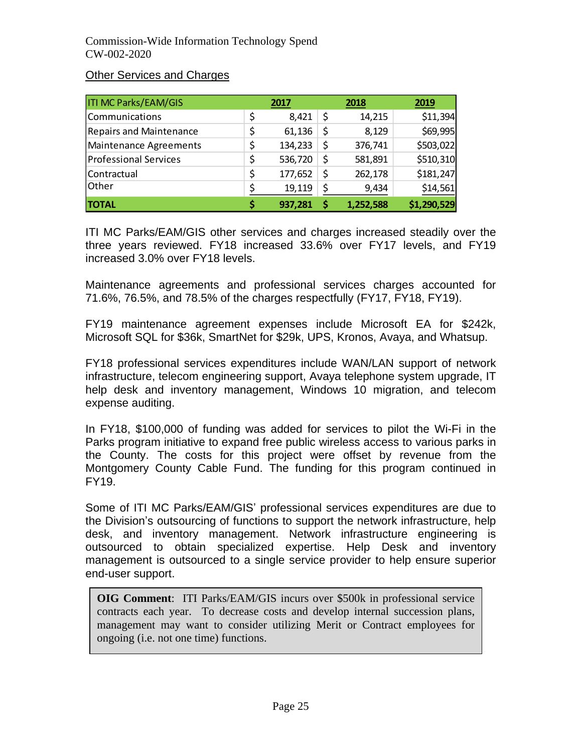### Other Services and Charges

| <b>ITI MC Parks/EAM/GIS</b>    | 2017          | 2018            | 2019        |
|--------------------------------|---------------|-----------------|-------------|
| Communications                 | \$<br>8,421   | \$<br>14,215    | \$11,394    |
| <b>Repairs and Maintenance</b> | \$<br>61,136  | \$<br>8,129     | \$69,995    |
| <b>Maintenance Agreements</b>  | \$<br>134,233 | \$<br>376,741   | \$503,022   |
| <b>Professional Services</b>   | \$<br>536,720 | \$<br>581,891   | \$510,310   |
| Contractual                    | \$<br>177,652 | \$<br>262,178   | \$181,247   |
| Other                          | 19,119        | \$<br>9,434     | \$14,561    |
| <b>TOTAL</b>                   | 937,281       | \$<br>1,252,588 | \$1,290,529 |

ITI MC Parks/EAM/GIS other services and charges increased steadily over the three years reviewed. FY18 increased 33.6% over FY17 levels, and FY19 increased 3.0% over FY18 levels.

Maintenance agreements and professional services charges accounted for 71.6%, 76.5%, and 78.5% of the charges respectfully (FY17, FY18, FY19).

FY19 maintenance agreement expenses include Microsoft EA for \$242k, Microsoft SQL for \$36k, SmartNet for \$29k, UPS, Kronos, Avaya, and Whatsup.

FY18 professional services expenditures include WAN/LAN support of network infrastructure, telecom engineering support, Avaya telephone system upgrade, IT help desk and inventory management, Windows 10 migration, and telecom expense auditing.

In FY18, \$100,000 of funding was added for services to pilot the Wi-Fi in the Parks program initiative to expand free public wireless access to various parks in the County. The costs for this project were offset by revenue from the Montgomery County Cable Fund. The funding for this program continued in FY19.

Some of ITI MC Parks/EAM/GIS' professional services expenditures are due to the Division's outsourcing of functions to support the network infrastructure, help desk, and inventory management. Network infrastructure engineering is outsourced to obtain specialized expertise. Help Desk and inventory management is outsourced to a single service provider to help ensure superior end-user support.

**OIG Comment**: ITI Parks/EAM/GIS incurs over \$500k in professional service contracts each year. To decrease costs and develop internal succession plans, management may want to consider utilizing Merit or Contract employees for ongoing (i.e. not one time) functions.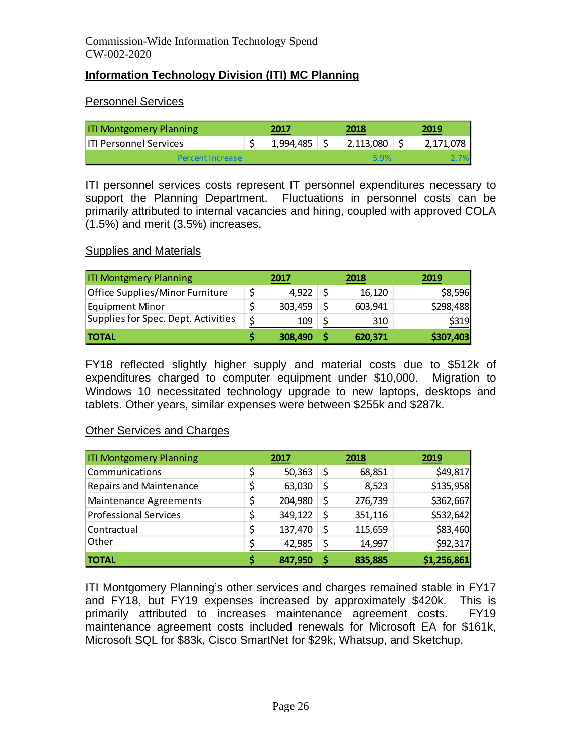## **Information Technology Division (ITI) MC Planning**

### Personnel Services

| <b>ITI Montgomery Planning</b> | 2017      | 2018      | 2019      |
|--------------------------------|-----------|-----------|-----------|
| <b>IITI Personnel Services</b> | 1,994,485 | 2,113,080 | 2,171,078 |
| Percent Increase               |           | 5.9%      |           |

ITI personnel services costs represent IT personnel expenditures necessary to support the Planning Department. Fluctuations in personnel costs can be primarily attributed to internal vacancies and hiring, coupled with approved COLA (1.5%) and merit (3.5%) increases.

#### **Supplies and Materials**

| <b>ITI Montgmery Planning</b>       |    | 2017    | 2018    | 2019      |
|-------------------------------------|----|---------|---------|-----------|
| Office Supplies/Minor Furniture     |    | 4,922   | 16,120  | \$8,596   |
| Equipment Minor                     |    | 303,459 | 603,941 | \$298,488 |
| Supplies for Spec. Dept. Activities | Ś. | 109     | 310     | \$319     |
| <b>TOTAL</b>                        |    | 308,490 | 620,371 | \$307,403 |

FY18 reflected slightly higher supply and material costs due to \$512k of expenditures charged to computer equipment under \$10,000. Migration to Windows 10 necessitated technology upgrade to new laptops, desktops and tablets. Other years, similar expenses were between \$255k and \$287k.

#### Other Services and Charges

| <b>ITI Montgomery Planning</b> |    | 2017    |    | 2018    | 2019        |
|--------------------------------|----|---------|----|---------|-------------|
| Communications                 | \$ | 50,363  | \$ | 68,851  | \$49,817    |
| <b>Repairs and Maintenance</b> | \$ | 63,030  | \$ | 8,523   | \$135,958   |
| Maintenance Agreements         | \$ | 204,980 | \$ | 276,739 | \$362,667   |
| <b>Professional Services</b>   | \$ | 349,122 | \$ | 351,116 | \$532,642   |
| Contractual                    | \$ | 137,470 | \$ | 115,659 | \$83,460    |
| <b>Other</b>                   | \$ | 42,985  | \$ | 14,997  | \$92,317    |
| <b>TOTAL</b>                   | S  | 847,950 | S  | 835,885 | \$1,256,861 |

ITI Montgomery Planning's other services and charges remained stable in FY17 and FY18, but FY19 expenses increased by approximately \$420k. This is primarily attributed to increases maintenance agreement costs. FY19 maintenance agreement costs included renewals for Microsoft EA for \$161k, Microsoft SQL for \$83k, Cisco SmartNet for \$29k, Whatsup, and Sketchup.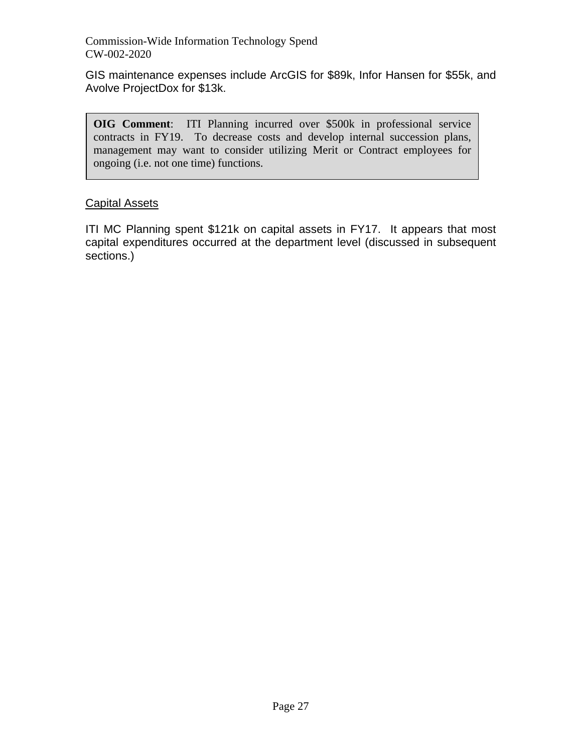GIS maintenance expenses include ArcGIS for \$89k, Infor Hansen for \$55k, and Avolve ProjectDox for \$13k.

**OIG Comment**: ITI Planning incurred over \$500k in professional service contracts in FY19. To decrease costs and develop internal succession plans, management may want to consider utilizing Merit or Contract employees for ongoing (i.e. not one time) functions.

## Capital Assets

ITI MC Planning spent \$121k on capital assets in FY17. It appears that most capital expenditures occurred at the department level (discussed in subsequent sections.)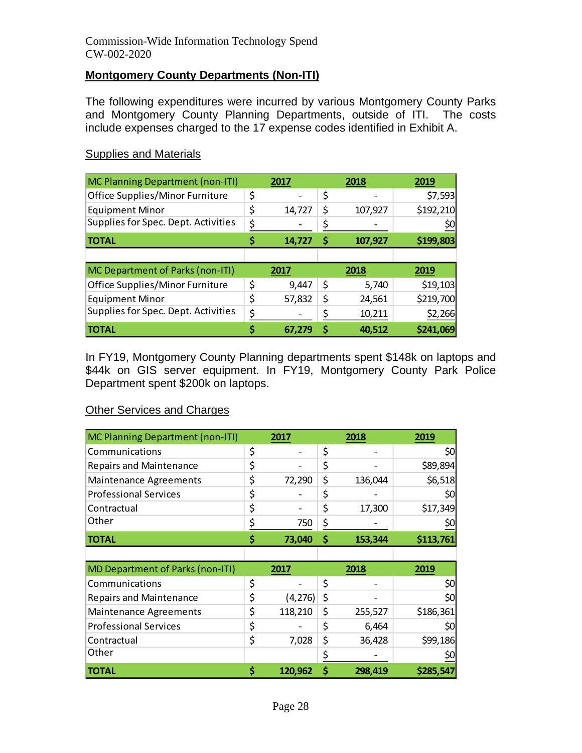#### **Montgomery County Departments (Non-ITI)**

The following expenditures were incurred by various Montgomery County Parks and Montgomery County Planning Departments, outside of ITI. The costs include expenses charged to the 17 expense codes identified in Exhibit A.

#### Supplies and Materials

| <b>MC Planning Department (non-ITI)</b> | 2017         | 2018          | 2019      |
|-----------------------------------------|--------------|---------------|-----------|
| Office Supplies/Minor Furniture         | \$           | \$            | \$7,593   |
| <b>Equipment Minor</b>                  | \$<br>14,727 | \$<br>107,927 | \$192,210 |
| Supplies for Spec. Dept. Activities     | \$           |               | \$0       |
| <b>TOTAL</b>                            | 14,727       | \$<br>107,927 | \$199,803 |
|                                         |              |               |           |
|                                         |              |               |           |
| MC Department of Parks (non-ITI)        | 2017         | 2018          | 2019      |
| Office Supplies/Minor Furniture         | \$<br>9,447  | \$<br>5,740   | \$19,103  |
| <b>Equipment Minor</b>                  | \$<br>57,832 | \$<br>24,561  | \$219,700 |
| Supplies for Spec. Dept. Activities     | \$           | 10,211        | \$2,266   |

In FY19, Montgomery County Planning departments spent \$148k on laptops and \$44k on GIS server equipment. In FY19, Montgomery County Park Police Department spent \$200k on laptops.

#### Other Services and Charges

| <b>MC Planning Department (non-ITI)</b> | 2017           | 2018          | 2019      |
|-----------------------------------------|----------------|---------------|-----------|
| Communications                          | \$             | \$            | \$0       |
| <b>Repairs and Maintenance</b>          | \$             | \$            | \$89,894  |
| <b>Maintenance Agreements</b>           | \$<br>72,290   | \$<br>136,044 | \$6,518   |
| <b>Professional Services</b>            | \$             | \$            | \$0       |
| Contractual                             | \$             | \$<br>17,300  | \$17,349  |
| Other                                   | \$<br>750      | \$            | \$0       |
| <b>TOTAL</b>                            | \$<br>73,040   | \$<br>153,344 | \$113,761 |
|                                         |                |               |           |
| <b>MD Department of Parks (non-ITI)</b> | 2017           | 2018          | 2019      |
| Communications                          | \$             | \$            | \$0       |
|                                         |                |               |           |
| <b>Repairs and Maintenance</b>          | \$<br>(4, 276) | \$            | \$0       |
| <b>Maintenance Agreements</b>           | \$<br>118,210  | \$<br>255,527 | \$186,361 |
| <b>Professional Services</b>            | \$             | \$<br>6,464   | \$0       |
| Contractual                             | \$<br>7,028    | \$<br>36,428  | \$99,186  |
| Other                                   |                | \$            | \$0       |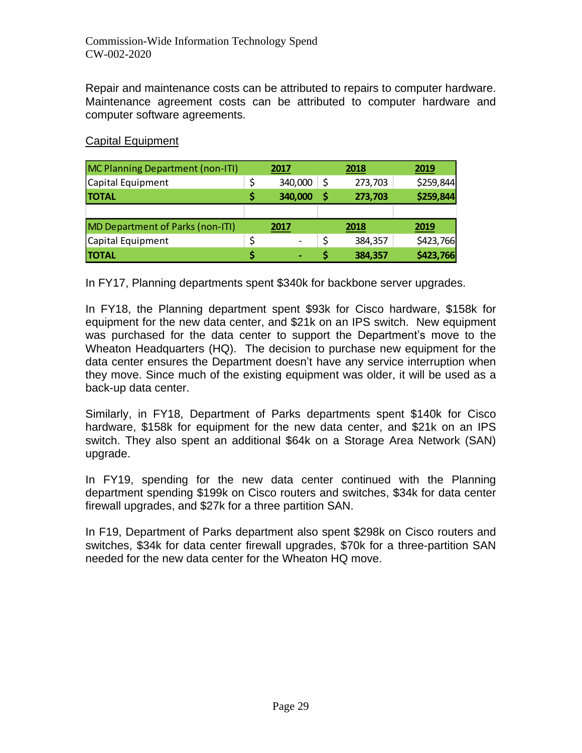Repair and maintenance costs can be attributed to repairs to computer hardware. Maintenance agreement costs can be attributed to computer hardware and computer software agreements.

### Capital Equipment

| <b>MC Planning Department (non-ITI)</b> | 2017    |     | 2018    | 2019      |
|-----------------------------------------|---------|-----|---------|-----------|
| Capital Equipment                       | 340,000 | \$  | 273,703 | \$259,844 |
| <b>TOTAL</b>                            | 340,000 | \$, | 273,703 | \$259,844 |
|                                         |         |     |         |           |
| <b>MD Department of Parks (non-ITI)</b> | 2017    |     | 2018    | 2019      |
| Capital Equipment                       |         |     | 384,357 | \$423,766 |
| <b>TOTAL</b>                            |         |     | 384,357 | \$423,766 |

In FY17, Planning departments spent \$340k for backbone server upgrades.

In FY18, the Planning department spent \$93k for Cisco hardware, \$158k for equipment for the new data center, and \$21k on an IPS switch. New equipment was purchased for the data center to support the Department's move to the Wheaton Headquarters (HQ). The decision to purchase new equipment for the data center ensures the Department doesn't have any service interruption when they move. Since much of the existing equipment was older, it will be used as a back-up data center.

Similarly, in FY18, Department of Parks departments spent \$140k for Cisco hardware, \$158k for equipment for the new data center, and \$21k on an IPS switch. They also spent an additional \$64k on a Storage Area Network (SAN) upgrade.

In FY19, spending for the new data center continued with the Planning department spending \$199k on Cisco routers and switches, \$34k for data center firewall upgrades, and \$27k for a three partition SAN.

In F19, Department of Parks department also spent \$298k on Cisco routers and switches, \$34k for data center firewall upgrades, \$70k for a three-partition SAN needed for the new data center for the Wheaton HQ move.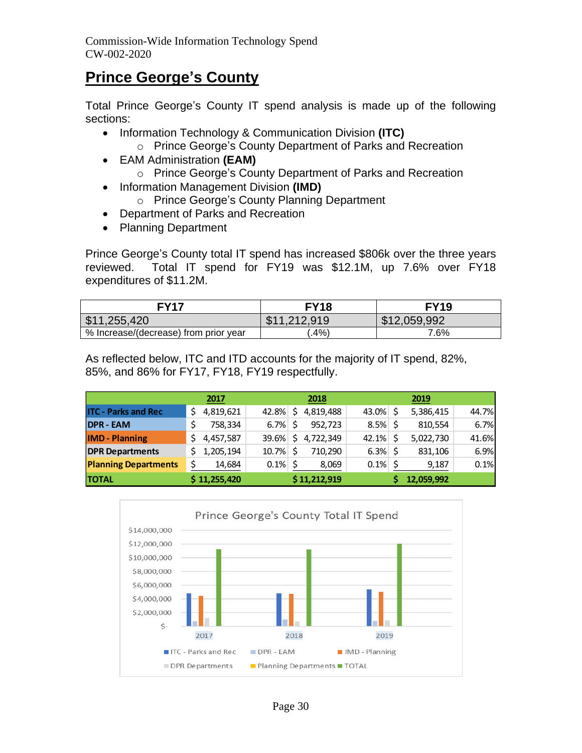# **Prince George's County**

Total Prince George's County IT spend analysis is made up of the following sections:

- Information Technology & Communication Division **(ITC)**
	- o Prince George's County Department of Parks and Recreation
- EAM Administration **(EAM)**
	- o Prince George's County Department of Parks and Recreation
- Information Management Division **(IMD)**
	- o Prince George's County Planning Department
- Department of Parks and Recreation
- Planning Department

Prince George's County total IT spend has increased \$806k over the three years reviewed. Total IT spend for FY19 was \$12.1M, up 7.6% over FY18 expenditures of \$11.2M.

| <b>FY17</b>                           | <b>FY18</b>         | <b>FY19</b>  |
|---------------------------------------|---------------------|--------------|
| \$11,255,420                          | \$11.212.919<br>ъĐ. | \$12,059,992 |
| % Increase/(decrease) from prior year | $.4\%$              | 7.6%         |

As reflected below, ITC and ITD accounts for the majority of IT spend, 82%, 85%, and 86% for FY17, FY18, FY19 respectfully.

|                             | 2017         |         | 2018         |             | 2019       |       |
|-----------------------------|--------------|---------|--------------|-------------|------------|-------|
| <b>ITC - Parks and Rec</b>  | 4,819,621    | 42.8%   | 4,819,488    | 43.0%       | 5,386,415  | 44.7% |
| <b>DPR - EAM</b>            | 758,334      | 6.7%    | 952.723      | $8.5\%$ \$  | 810,554    | 6.7%  |
| <b>IMD</b> - Planning       | 4,457,587    | 39.6%   | 4,722,349    | $42.1\%$ \$ | 5,022,730  | 41.6% |
| <b>DPR Departments</b>      | 1,205,194    | 10.7%   | 710.290      | $6.3\%$ \$  | 831,106    | 6.9%  |
| <b>Planning Departments</b> | 14,684       | $0.1\%$ | 8,069        | 0.1%        | 9,187      | 0.1%  |
| <b>TOTAL</b>                | \$11,255,420 |         | \$11,212,919 |             | 12,059,992 |       |

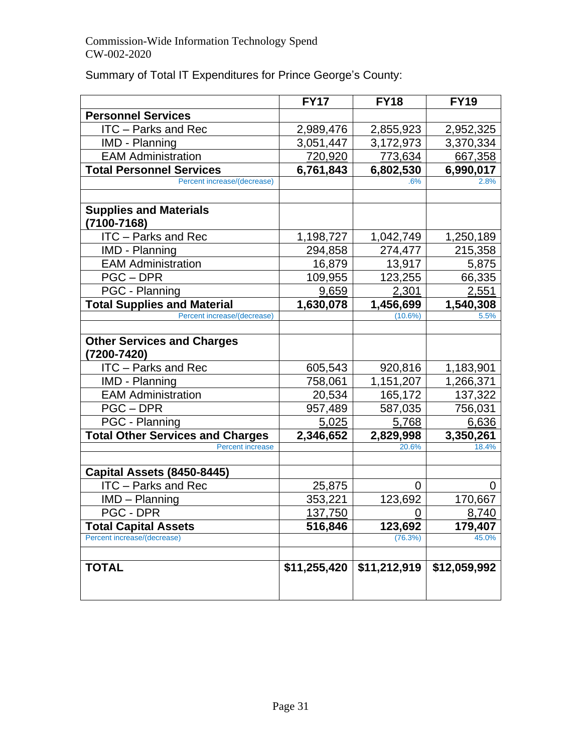|  |  |  |  | Summary of Total IT Expenditures for Prince George's County: |
|--|--|--|--|--------------------------------------------------------------|
|--|--|--|--|--------------------------------------------------------------|

|                                                  | <b>FY17</b>  | <b>FY18</b>  | <b>FY19</b>  |
|--------------------------------------------------|--------------|--------------|--------------|
| <b>Personnel Services</b>                        |              |              |              |
| <b>ITC</b> – Parks and Rec                       | 2,989,476    | 2,855,923    | 2,952,325    |
| IMD - Planning                                   | 3,051,447    | 3,172,973    | 3,370,334    |
| <b>EAM Administration</b>                        | 720,920      | 773,634      | 667,358      |
| <b>Total Personnel Services</b>                  | 6,761,843    | 6,802,530    | 6,990,017    |
| Percent increase/(decrease)                      |              | .6%          | 2.8%         |
|                                                  |              |              |              |
| <b>Supplies and Materials</b>                    |              |              |              |
| (7100-7168)                                      |              |              |              |
| <b>ITC</b> - Parks and Rec                       | 1,198,727    | 1,042,749    | 1,250,189    |
| <b>IMD - Planning</b>                            | 294,858      | 274,477      | 215,358      |
| <b>EAM Administration</b>                        | 16,879       | 13,917       | 5,875        |
| PGC-DPR                                          | 109,955      | 123,255      | 66,335       |
| PGC - Planning                                   | 9,659        | 2,301        | 2,551        |
| <b>Total Supplies and Material</b>               | 1,630,078    | 1,456,699    | 1,540,308    |
| Percent increase/(decrease)                      |              | (10.6%)      | 5.5%         |
|                                                  |              |              |              |
| <b>Other Services and Charges</b><br>(7200-7420) |              |              |              |
| ITC - Parks and Rec                              | 605,543      | 920,816      | 1,183,901    |
| <b>IMD - Planning</b>                            | 758,061      | 1,151,207    | 1,266,371    |
| <b>EAM Administration</b>                        | 20,534       | 165,172      | 137,322      |
| PGC-DPR                                          | 957,489      | 587,035      | 756,031      |
| PGC - Planning                                   | 5,025        | 5,768        | 6,636        |
| <b>Total Other Services and Charges</b>          | 2,346,652    | 2,829,998    | 3,350,261    |
| <b>Percent increase</b>                          |              | 20.6%        | 18.4%        |
|                                                  |              |              |              |
| Capital Assets (8450-8445)                       |              |              |              |
| <b>ITC</b> – Parks and Rec                       | 25,875       | 0            | 0            |
| $IMD - Planning$                                 | 353,221      | 123,692      | 170,667      |
| PGC - DPR                                        | 137,750      | 0            | 8,740        |
| <b>Total Capital Assets</b>                      | 516,846      | 123,692      | 179,407      |
| Percent increase/(decrease)                      |              | (76.3%)      | 45.0%        |
|                                                  |              |              |              |
| <b>TOTAL</b>                                     | \$11,255,420 | \$11,212,919 | \$12,059,992 |
|                                                  |              |              |              |
|                                                  |              |              |              |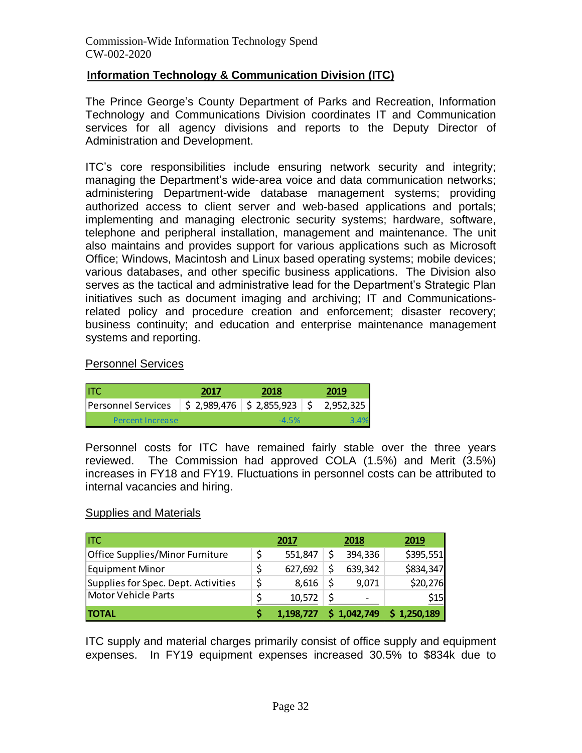### **Information Technology & Communication Division (ITC)**

The Prince George's County Department of Parks and Recreation, Information Technology and Communications Division coordinates IT and Communication services for all agency divisions and reports to the Deputy Director of Administration and Development.

ITC's core responsibilities include ensuring network security and integrity; managing the Department's wide-area voice and data communication networks; administering Department-wide database management systems; providing authorized access to client server and web-based applications and portals; implementing and managing electronic security systems; hardware, software, telephone and peripheral installation, management and maintenance. The unit also maintains and provides support for various applications such as Microsoft Office; Windows, Macintosh and Linux based operating systems; mobile devices; various databases, and other specific business applications. The Division also serves as the tactical and administrative lead for the Department's Strategic Plan initiatives such as document imaging and archiving; IT and Communicationsrelated policy and procedure creation and enforcement; disaster recovery; business continuity; and education and enterprise maintenance management systems and reporting.

#### Personnel Services

| litc                      | 2017                          | 2018     | 2019      |
|---------------------------|-------------------------------|----------|-----------|
| <b>Personnel Services</b> | $$2,989,476$ $$2,855,923$ $$$ |          | 2,952,325 |
| Percent Increase          |                               | $-4.5\%$ |           |

Personnel costs for ITC have remained fairly stable over the three years reviewed. The Commission had approved COLA (1.5%) and Merit (3.5%) increases in FY18 and FY19. Fluctuations in personnel costs can be attributed to internal vacancies and hiring.

#### Supplies and Materials

| <b>ITC</b>                          | 2017      | 2018        | 2019      |
|-------------------------------------|-----------|-------------|-----------|
| Office Supplies/Minor Furniture     | 551,847   | 394,336     | \$395,551 |
| <b>Equipment Minor</b>              | 627,692   | 639,342     | \$834,347 |
| Supplies for Spec. Dept. Activities | 8.616     | 9.071       | \$20,276  |
| Motor Vehicle Parts                 | 10,572    | -           | \$15      |
| <b>TOTAL</b>                        | 1,198,727 | \$1,042,749 | 1,250,189 |

ITC supply and material charges primarily consist of office supply and equipment expenses. In FY19 equipment expenses increased 30.5% to \$834k due to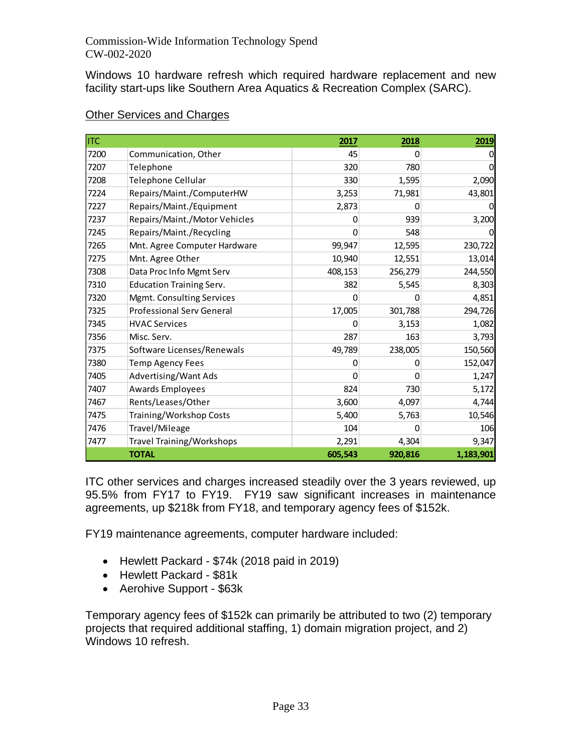Windows 10 hardware refresh which required hardware replacement and new facility start-ups like Southern Area Aquatics & Recreation Complex (SARC).

| <b>ITC</b> |                                  | 2017    | 2018    | 2019      |
|------------|----------------------------------|---------|---------|-----------|
| 7200       | Communication, Other             | 45      | 0       | 0         |
| 7207       | Telephone                        | 320     | 780     |           |
| 7208       | Telephone Cellular               | 330     | 1,595   | 2,090     |
| 7224       | Repairs/Maint./ComputerHW        | 3,253   | 71,981  | 43,801    |
| 7227       | Repairs/Maint./Equipment         | 2,873   | 0       |           |
| 7237       | Repairs/Maint./Motor Vehicles    | 0       | 939     | 3,200     |
| 7245       | Repairs/Maint./Recycling         | 0       | 548     | O         |
| 7265       | Mnt. Agree Computer Hardware     | 99,947  | 12,595  | 230,722   |
| 7275       | Mnt. Agree Other                 | 10,940  | 12,551  | 13,014    |
| 7308       | Data Proc Info Mgmt Serv         | 408,153 | 256,279 | 244,550   |
| 7310       | <b>Education Training Serv.</b>  | 382     | 5,545   | 8,303     |
| 7320       | Mgmt. Consulting Services        | 0       | 0       | 4,851     |
| 7325       | <b>Professional Serv General</b> | 17,005  | 301,788 | 294,726   |
| 7345       | <b>HVAC Services</b>             | 0       | 3,153   | 1,082     |
| 7356       | Misc. Serv.                      | 287     | 163     | 3,793     |
| 7375       | Software Licenses/Renewals       | 49,789  | 238,005 | 150,560   |
| 7380       | <b>Temp Agency Fees</b>          | 0       | 0       | 152,047   |
| 7405       | Advertising/Want Ads             | 0       | 0       | 1,247     |
| 7407       | Awards Employees                 | 824     | 730     | 5,172     |
| 7467       | Rents/Leases/Other               | 3,600   | 4,097   | 4,744     |
| 7475       | Training/Workshop Costs          | 5,400   | 5,763   | 10,546    |
| 7476       | Travel/Mileage                   | 104     | 0       | 106       |
| 7477       | <b>Travel Training/Workshops</b> | 2,291   | 4,304   | 9,347     |
|            | <b>TOTAL</b>                     | 605,543 | 920,816 | 1,183,901 |

## Other Services and Charges

ITC other services and charges increased steadily over the 3 years reviewed, up 95.5% from FY17 to FY19. FY19 saw significant increases in maintenance agreements, up \$218k from FY18, and temporary agency fees of \$152k.

FY19 maintenance agreements, computer hardware included:

- Hewlett Packard \$74k (2018 paid in 2019)
- Hewlett Packard \$81k
- Aerohive Support \$63k

Temporary agency fees of \$152k can primarily be attributed to two (2) temporary projects that required additional staffing, 1) domain migration project, and 2) Windows 10 refresh.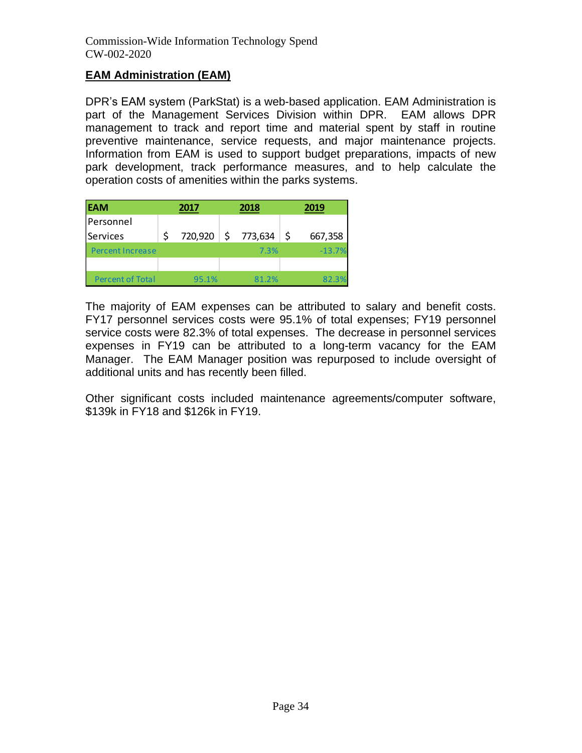## **EAM Administration (EAM)**

DPR's EAM system (ParkStat) is a web-based application. EAM Administration is part of the Management Services Division within DPR. EAM allows DPR management to track and report time and material spent by staff in routine preventive maintenance, service requests, and major maintenance projects. Information from EAM is used to support budget preparations, impacts of new park development, track performance measures, and to help calculate the operation costs of amenities within the parks systems.

| <b>EAM</b>              | 2017    | 2018 |         |  |          |
|-------------------------|---------|------|---------|--|----------|
| l Personnel             |         |      |         |  |          |
| Services                | 720,920 | \$   | 773,634 |  | 667,358  |
| <b>Percent Increase</b> |         |      | 7.3%    |  | $-13.7%$ |
|                         |         |      |         |  |          |
| <b>Percent of Total</b> | 95.1%   |      | 81.2%   |  | 82.3%    |

The majority of EAM expenses can be attributed to salary and benefit costs. FY17 personnel services costs were 95.1% of total expenses; FY19 personnel service costs were 82.3% of total expenses. The decrease in personnel services expenses in FY19 can be attributed to a long-term vacancy for the EAM Manager. The EAM Manager position was repurposed to include oversight of additional units and has recently been filled.

Other significant costs included maintenance agreements/computer software, \$139k in FY18 and \$126k in FY19.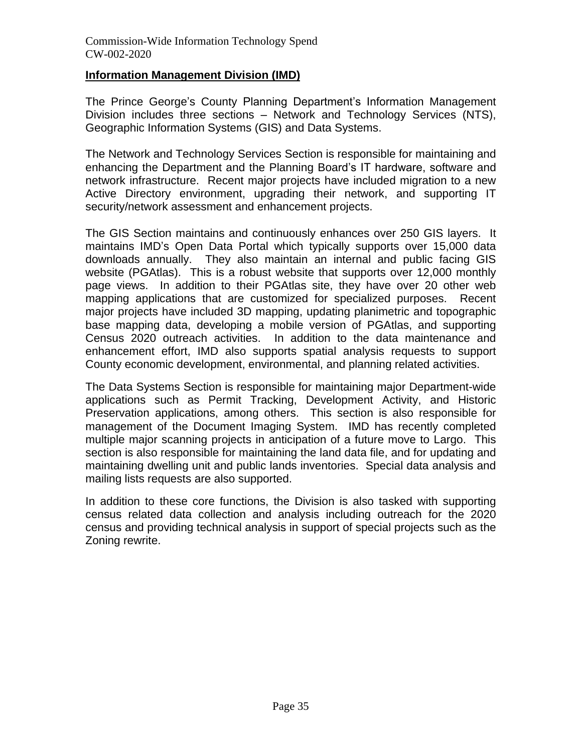#### **Information Management Division (IMD)**

The Prince George's County Planning Department's Information Management Division includes three sections – Network and Technology Services (NTS), Geographic Information Systems (GIS) and Data Systems.

The Network and Technology Services Section is responsible for maintaining and enhancing the Department and the Planning Board's IT hardware, software and network infrastructure. Recent major projects have included migration to a new Active Directory environment, upgrading their network, and supporting IT security/network assessment and enhancement projects.

The GIS Section maintains and continuously enhances over 250 GIS layers. It maintains IMD's Open Data Portal which typically supports over 15,000 data downloads annually. They also maintain an internal and public facing GIS website (PGAtlas). This is a robust website that supports over 12,000 monthly page views. In addition to their PGAtlas site, they have over 20 other web mapping applications that are customized for specialized purposes. Recent major projects have included 3D mapping, updating planimetric and topographic base mapping data, developing a mobile version of PGAtlas, and supporting Census 2020 outreach activities. In addition to the data maintenance and enhancement effort, IMD also supports spatial analysis requests to support County economic development, environmental, and planning related activities.

The Data Systems Section is responsible for maintaining major Department-wide applications such as Permit Tracking, Development Activity, and Historic Preservation applications, among others. This section is also responsible for management of the Document Imaging System. IMD has recently completed multiple major scanning projects in anticipation of a future move to Largo. This section is also responsible for maintaining the land data file, and for updating and maintaining dwelling unit and public lands inventories. Special data analysis and mailing lists requests are also supported.

In addition to these core functions, the Division is also tasked with supporting census related data collection and analysis including outreach for the 2020 census and providing technical analysis in support of special projects such as the Zoning rewrite.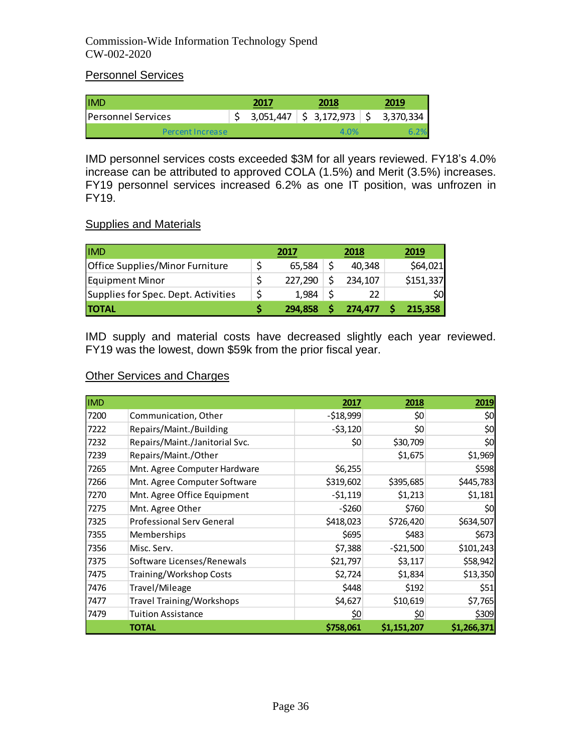## Personnel Services

| <b>IIMD</b>               | 2017 | 2018                                                              | 2019 |
|---------------------------|------|-------------------------------------------------------------------|------|
| <b>Personnel Services</b> |      | $3,051,447$ $\binom{5}{5}$ $3,172,973$ $\binom{6}{5}$ $3,370,334$ |      |
| <b>Percent Increase</b>   |      | 4.0%                                                              |      |

IMD personnel services costs exceeded \$3M for all years reviewed. FY18's 4.0% increase can be attributed to approved COLA (1.5%) and Merit (3.5%) increases. FY19 personnel services increased 6.2% as one IT position, was unfrozen in FY19.

#### Supplies and Materials

| <b>IMD</b>                          | 2017    | 2018    | 2019      |
|-------------------------------------|---------|---------|-----------|
| Office Supplies/Minor Furniture     | 65,584  | 40,348  | \$64,021  |
| Equipment Minor                     | 227,290 | 234,107 | \$151,337 |
| Supplies for Spec. Dept. Activities | 1.984   | 22      | SOI       |
| <b>TOTAL</b>                        | 294.858 | 274.477 | 215.358   |

IMD supply and material costs have decreased slightly each year reviewed. FY19 was the lowest, down \$59k from the prior fiscal year.

### **Other Services and Charges**

| <b>IMD</b> |                                  | 2017       | 2018        | 2019        |
|------------|----------------------------------|------------|-------------|-------------|
| 7200       | Communication, Other             | $-518,999$ | \$0         | \$0         |
| 7222       | Repairs/Maint./Building          | $-53,120$  | \$0         | \$0         |
| 7232       | Repairs/Maint./Janitorial Svc.   | \$0        | \$30,709    | \$0         |
| 7239       | Repairs/Maint./Other             |            | \$1,675     | \$1,969     |
| 7265       | Mnt. Agree Computer Hardware     | \$6,255    |             | \$598       |
| 7266       | Mnt. Agree Computer Software     | \$319,602  | \$395,685   | \$445,783   |
| 7270       | Mnt. Agree Office Equipment      | $-51,119$  | \$1,213     | \$1,181     |
| 7275       | Mnt. Agree Other                 | $-5260$    | \$760       | \$0         |
| 7325       | <b>Professional Serv General</b> | \$418,023  | \$726,420   | \$634,507   |
| 7355       | Memberships                      | \$695      | \$483       | \$673       |
| 7356       | Misc. Serv.                      | \$7,388    | $-521,500$  | \$101,243   |
| 7375       | Software Licenses/Renewals       | \$21,797   | \$3,117     | \$58,942    |
| 7475       | Training/Workshop Costs          | \$2,724    | \$1,834     | \$13,350    |
| 7476       | Travel/Mileage                   | \$448      | \$192       | \$51        |
| 7477       | <b>Travel Training/Workshops</b> | \$4,627    | \$10,619    | \$7,765     |
| 7479       | <b>Tuition Assistance</b>        | <u>\$0</u> | \$0         | \$309       |
|            | TOTAL                            | \$758,061  | \$1,151,207 | \$1,266,371 |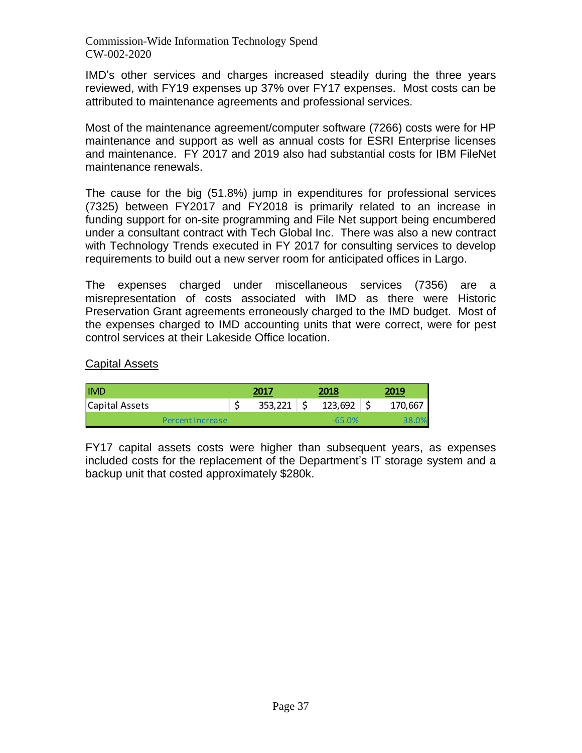IMD's other services and charges increased steadily during the three years reviewed, with FY19 expenses up 37% over FY17 expenses. Most costs can be attributed to maintenance agreements and professional services.

Most of the maintenance agreement/computer software (7266) costs were for HP maintenance and support as well as annual costs for ESRI Enterprise licenses and maintenance. FY 2017 and 2019 also had substantial costs for IBM FileNet maintenance renewals.

The cause for the big (51.8%) jump in expenditures for professional services (7325) between FY2017 and FY2018 is primarily related to an increase in funding support for on-site programming and File Net support being encumbered under a consultant contract with Tech Global Inc. There was also a new contract with Technology Trends executed in FY 2017 for consulting services to develop requirements to build out a new server room for anticipated offices in Largo.

The expenses charged under miscellaneous services (7356) are a misrepresentation of costs associated with IMD as there were Historic Preservation Grant agreements erroneously charged to the IMD budget. Most of the expenses charged to IMD accounting units that were correct, were for pest control services at their Lakeside Office location.

#### Capital Assets

| <b>IMD</b>       | 2017    | 2018     | 2019    |
|------------------|---------|----------|---------|
| Capital Assets   | 353,221 | 123,692  | 170,667 |
| Percent Increase |         | $-65.0%$ |         |

FY17 capital assets costs were higher than subsequent years, as expenses included costs for the replacement of the Department's IT storage system and a backup unit that costed approximately \$280k.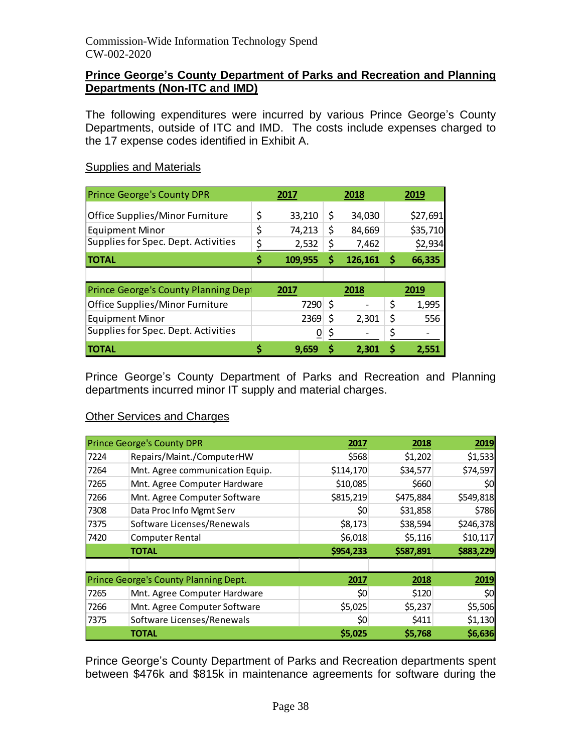#### **Prince George's County Department of Parks and Recreation and Planning Departments (Non-ITC and IMD)**

The following expenditures were incurred by various Prince George's County Departments, outside of ITC and IMD. The costs include expenses charged to the 17 expense codes identified in Exhibit A.

#### **Supplies and Materials**

| <b>Prince George's County DPR</b>   | 2017         |    | 2018    | 2019         |
|-------------------------------------|--------------|----|---------|--------------|
| Office Supplies/Minor Furniture     | \$<br>33,210 | \$ | 34,030  | \$27,691     |
| <b>Equipment Minor</b>              | \$<br>74,213 | \$ | 84,669  | \$35,710     |
| Supplies for Spec. Dept. Activities | \$<br>2,532  |    | 7,462   | \$2,934      |
| <b>TOTAL</b>                        | 109,955      | S  | 126,161 | \$<br>66,335 |
|                                     |              |    |         |              |
| Prince George's County Planning Dep | 2017         |    | 2018    | 2019         |
| Office Supplies/Minor Furniture     | 7290         | \$ |         | \$<br>1,995  |
|                                     |              |    |         |              |
| <b>Equipment Minor</b>              | 2369         |    | 2,301   | \$<br>556    |
| Supplies for Spec. Dept. Activities | 0            |    |         | \$           |

Prince George's County Department of Parks and Recreation and Planning departments incurred minor IT supply and material charges.

#### Other Services and Charges

|      | <b>Prince George's County DPR</b>     | 2017      | 2018      | 2019      |
|------|---------------------------------------|-----------|-----------|-----------|
| 7224 | Repairs/Maint./ComputerHW             | \$568     | \$1,202   | \$1,533   |
| 7264 | Mnt. Agree communication Equip.       | \$114,170 | \$34,577  | \$74,597  |
| 7265 | Mnt. Agree Computer Hardware          | \$10,085  | \$660     | \$0       |
| 7266 | Mnt. Agree Computer Software          | \$815,219 | \$475,884 | \$549,818 |
| 7308 | Data Proc Info Mgmt Serv              | \$0       | \$31,858  | \$786     |
| 7375 | Software Licenses/Renewals            | \$8,173   | \$38,594  | \$246,378 |
| 7420 | <b>Computer Rental</b>                | \$6,018   | \$5,116   | \$10,117  |
|      | <b>TOTAL</b>                          | \$954,233 | \$587,891 | \$883,229 |
|      |                                       |           |           |           |
|      | Prince George's County Planning Dept. | 2017      | 2018      | 2019      |
| 7265 | Mnt. Agree Computer Hardware          | \$0       | \$120     | \$0       |
| 7266 | Mnt. Agree Computer Software          | \$5,025   | \$5,237   | \$5,506   |
| 7375 | Software Licenses/Renewals            | \$0       | \$411     | \$1,130   |
|      | <b>TOTAL</b>                          | \$5,025   | \$5,768   | \$6,636   |

Prince George's County Department of Parks and Recreation departments spent between \$476k and \$815k in maintenance agreements for software during the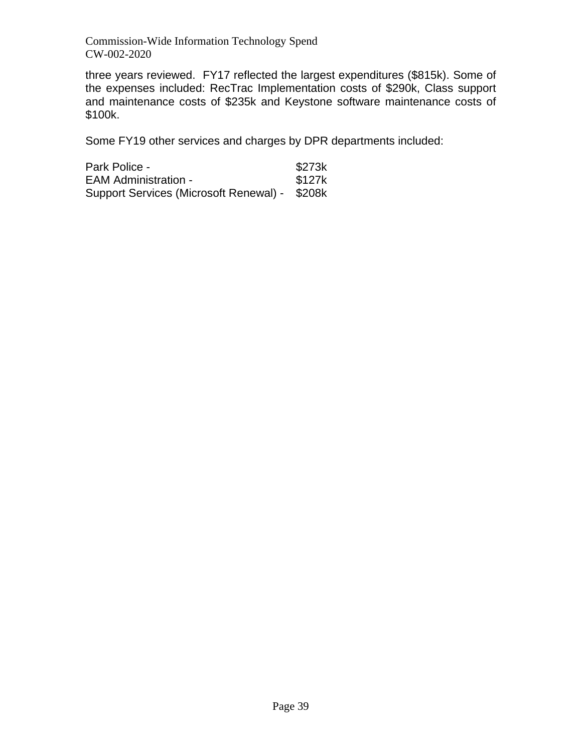three years reviewed. FY17 reflected the largest expenditures (\$815k). Some of the expenses included: RecTrac Implementation costs of \$290k, Class support and maintenance costs of \$235k and Keystone software maintenance costs of \$100k.

Some FY19 other services and charges by DPR departments included:

| Park Police -                                 | \$273k |
|-----------------------------------------------|--------|
| <b>EAM Administration -</b>                   | \$127k |
| Support Services (Microsoft Renewal) - \$208k |        |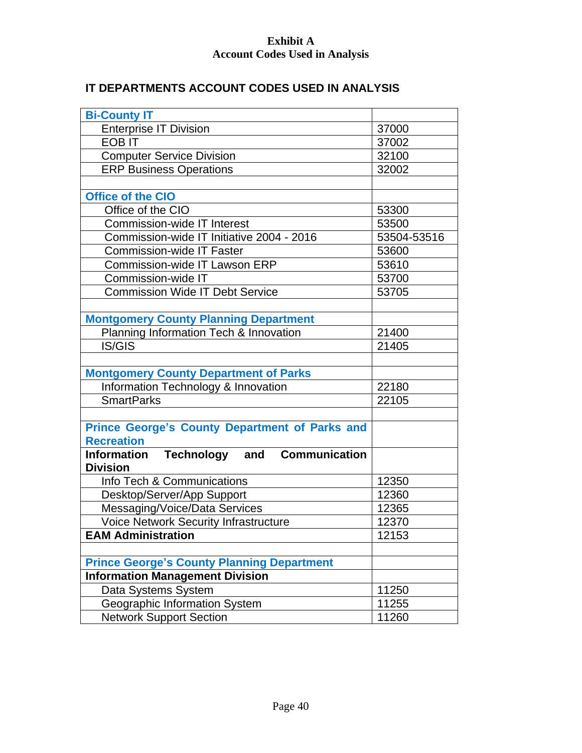## **Exhibit A Account Codes Used in Analysis**

## **IT DEPARTMENTS ACCOUNT CODES USED IN ANALYSIS**

| <b>Bi-County IT</b>                                          |             |
|--------------------------------------------------------------|-------------|
| <b>Enterprise IT Division</b>                                | 37000       |
| <b>EOBIT</b>                                                 | 37002       |
| <b>Computer Service Division</b>                             | 32100       |
| <b>ERP Business Operations</b>                               | 32002       |
|                                                              |             |
| <b>Office of the CIO</b>                                     |             |
| Office of the CIO                                            | 53300       |
| <b>Commission-wide IT Interest</b>                           | 53500       |
| Commission-wide IT Initiative 2004 - 2016                    | 53504-53516 |
| <b>Commission-wide IT Faster</b>                             | 53600       |
| <b>Commission-wide IT Lawson ERP</b>                         | 53610       |
| Commission-wide IT                                           | 53700       |
| <b>Commission Wide IT Debt Service</b>                       | 53705       |
|                                                              |             |
| <b>Montgomery County Planning Department</b>                 |             |
| Planning Information Tech & Innovation                       | 21400       |
| <b>IS/GIS</b>                                                | 21405       |
|                                                              |             |
| <b>Montgomery County Department of Parks</b>                 |             |
| Information Technology & Innovation                          | 22180       |
| <b>SmartParks</b>                                            | 22105       |
|                                                              |             |
| <b>Prince George's County Department of Parks and</b>        |             |
| <b>Recreation</b>                                            |             |
| <b>Communication</b><br>Technology and<br><b>Information</b> |             |
| <b>Division</b>                                              |             |
| Info Tech & Communications                                   | 12350       |
| Desktop/Server/App Support                                   | 12360       |
| Messaging/Voice/Data Services                                | 12365       |
| <b>Voice Network Security Infrastructure</b>                 | 12370       |
| <b>EAM Administration</b>                                    | 12153       |
|                                                              |             |
| <b>Prince George's County Planning Department</b>            |             |
| <b>Information Management Division</b>                       |             |
| Data Systems System                                          | 11250       |
| Geographic Information System                                | 11255       |
| <b>Network Support Section</b>                               | 11260       |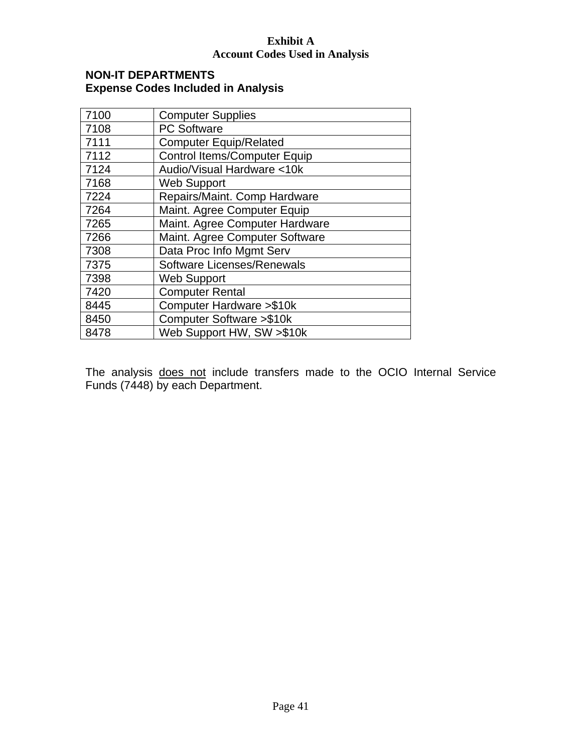#### **Exhibit A Account Codes Used in Analysis**

#### **NON-IT DEPARTMENTS Expense Codes Included in Analysis**

| 7100 | <b>Computer Supplies</b>            |
|------|-------------------------------------|
| 7108 | <b>PC Software</b>                  |
| 7111 | <b>Computer Equip/Related</b>       |
| 7112 | <b>Control Items/Computer Equip</b> |
| 7124 | Audio/Visual Hardware <10k          |
| 7168 | <b>Web Support</b>                  |
| 7224 | Repairs/Maint. Comp Hardware        |
| 7264 | Maint. Agree Computer Equip         |
| 7265 | Maint. Agree Computer Hardware      |
| 7266 | Maint. Agree Computer Software      |
| 7308 | Data Proc Info Mgmt Serv            |
| 7375 | <b>Software Licenses/Renewals</b>   |
| 7398 | <b>Web Support</b>                  |
| 7420 | <b>Computer Rental</b>              |
| 8445 | Computer Hardware > \$10k           |
| 8450 | Computer Software > \$10k           |
| 8478 | Web Support HW, SW >\$10k           |

The analysis does not include transfers made to the OCIO Internal Service Funds (7448) by each Department.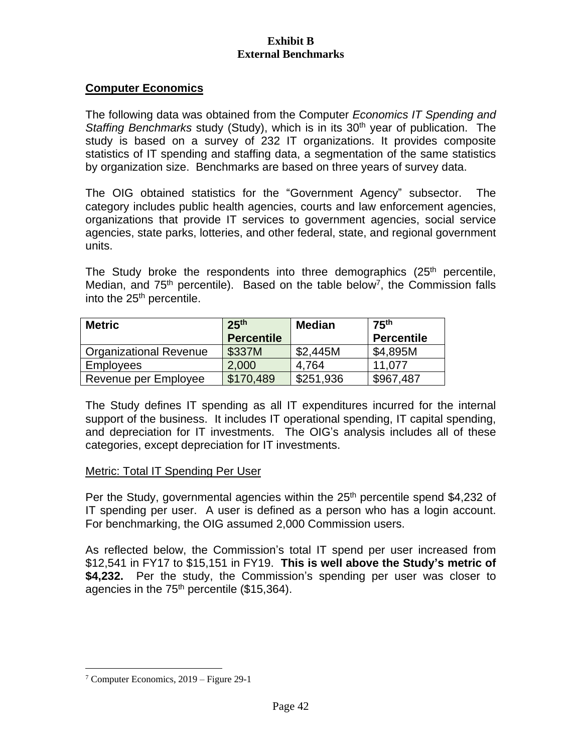### **Computer Economics**

The following data was obtained from the Computer *Economics IT Spending and Staffing Benchmarks study (Study), which is in its 30<sup>th</sup> year of publication. The* study is based on a survey of 232 IT organizations. It provides composite statistics of IT spending and staffing data, a segmentation of the same statistics by organization size. Benchmarks are based on three years of survey data.

The OIG obtained statistics for the "Government Agency" subsector. The category includes public health agencies, courts and law enforcement agencies, organizations that provide IT services to government agencies, social service agencies, state parks, lotteries, and other federal, state, and regional government units.

The Study broke the respondents into three demographics (25<sup>th</sup> percentile, Median, and  $75<sup>th</sup>$  percentile). Based on the table below<sup>7</sup>, the Commission falls into the 25<sup>th</sup> percentile.

| <b>Metric</b>                 | 25 <sup>th</sup>  | <b>Median</b> | 75 <sup>th</sup>  |
|-------------------------------|-------------------|---------------|-------------------|
|                               | <b>Percentile</b> |               | <b>Percentile</b> |
| <b>Organizational Revenue</b> | \$337M            | \$2,445M      | \$4,895M          |
| <b>Employees</b>              | 2,000             | 4.764         | 11.077            |
| Revenue per Employee          | \$170,489         | \$251,936     | \$967,487         |

The Study defines IT spending as all IT expenditures incurred for the internal support of the business. It includes IT operational spending, IT capital spending, and depreciation for IT investments. The OIG's analysis includes all of these categories, except depreciation for IT investments.

#### Metric: Total IT Spending Per User

Per the Study, governmental agencies within the 25<sup>th</sup> percentile spend \$4,232 of IT spending per user. A user is defined as a person who has a login account. For benchmarking, the OIG assumed 2,000 Commission users.

As reflected below, the Commission's total IT spend per user increased from \$12,541 in FY17 to \$15,151 in FY19. **This is well above the Study's metric of \$4,232.** Per the study, the Commission's spending per user was closer to agencies in the  $75<sup>th</sup>$  percentile (\$15,364).

<sup>7</sup> Computer Economics, 2019 – Figure 29-1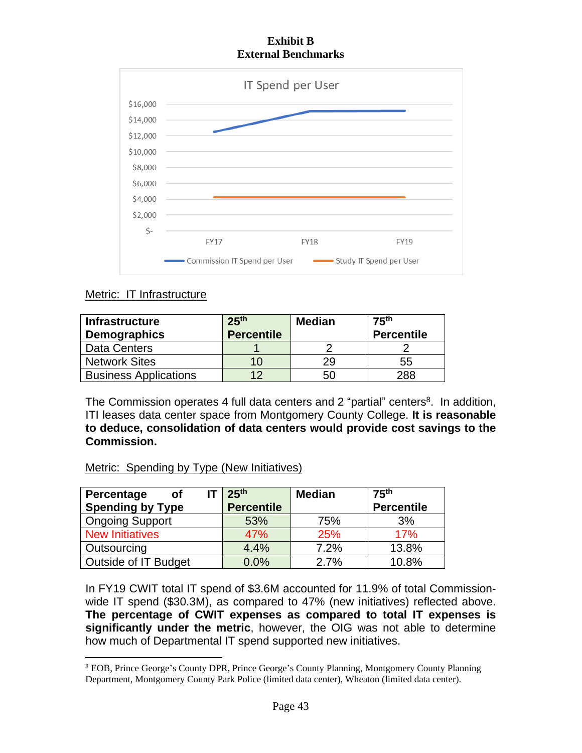

## Metric: IT Infrastructure

| <b>Infrastructure</b><br><b>Demographics</b> | 25 <sup>th</sup><br><b>Percentile</b> | <b>Median</b> | 75 <sup>th</sup><br><b>Percentile</b> |
|----------------------------------------------|---------------------------------------|---------------|---------------------------------------|
| Data Centers                                 |                                       |               |                                       |
| <b>Network Sites</b>                         | 10                                    | 29            | 55                                    |
| <b>Business Applications</b>                 | ィク                                    | 50            | 288                                   |

The Commission operates 4 full data centers and 2 "partial" centers<sup>8</sup>. In addition, ITI leases data center space from Montgomery County College. **It is reasonable to deduce, consolidation of data centers would provide cost savings to the Commission.**

## Metric: Spending by Type (New Initiatives)

| Percentage<br><b>of</b>     | 25 <sup>th</sup>  | <b>Median</b> | 75 <sup>th</sup>  |
|-----------------------------|-------------------|---------------|-------------------|
| <b>Spending by Type</b>     | <b>Percentile</b> |               | <b>Percentile</b> |
| <b>Ongoing Support</b>      | 53%               | 75%           | 3%                |
| <b>New Initiatives</b>      | 47%               | 25%           | 17%               |
| Outsourcing                 | 4.4%              | 7.2%          | 13.8%             |
| <b>Outside of IT Budget</b> | 0.0%              | 2.7%          | 10.8%             |

In FY19 CWIT total IT spend of \$3.6M accounted for 11.9% of total Commissionwide IT spend (\$30.3M), as compared to 47% (new initiatives) reflected above. **The percentage of CWIT expenses as compared to total IT expenses is significantly under the metric**, however, the OIG was not able to determine how much of Departmental IT spend supported new initiatives.

<sup>8</sup> EOB, Prince George's County DPR, Prince George's County Planning, Montgomery County Planning Department, Montgomery County Park Police (limited data center), Wheaton (limited data center).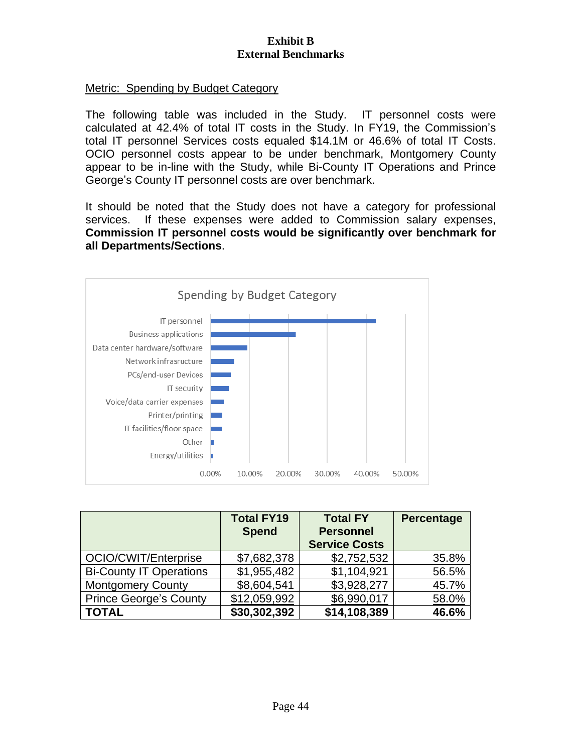#### Metric: Spending by Budget Category

The following table was included in the Study. IT personnel costs were calculated at 42.4% of total IT costs in the Study. In FY19, the Commission's total IT personnel Services costs equaled \$14.1M or 46.6% of total IT Costs. OCIO personnel costs appear to be under benchmark, Montgomery County appear to be in-line with the Study, while Bi-County IT Operations and Prince George's County IT personnel costs are over benchmark.

It should be noted that the Study does not have a category for professional services. If these expenses were added to Commission salary expenses, **Commission IT personnel costs would be significantly over benchmark for all Departments/Sections**.



|                                | <b>Total FY19</b><br><b>Spend</b> | <b>Total FY</b><br><b>Personnel</b><br><b>Service Costs</b> | <b>Percentage</b> |
|--------------------------------|-----------------------------------|-------------------------------------------------------------|-------------------|
| OCIO/CWIT/Enterprise           | \$7,682,378                       | \$2,752,532                                                 | 35.8%             |
| <b>Bi-County IT Operations</b> | \$1,955,482                       | \$1,104,921                                                 | 56.5%             |
| <b>Montgomery County</b>       | \$8,604,541                       | \$3,928,277                                                 | 45.7%             |
| <b>Prince George's County</b>  | \$12,059,992                      | \$6,990,017                                                 | 58.0%             |
| <b>TOTAL</b>                   | \$30,302,392                      | \$14,108,389                                                | 46.6%             |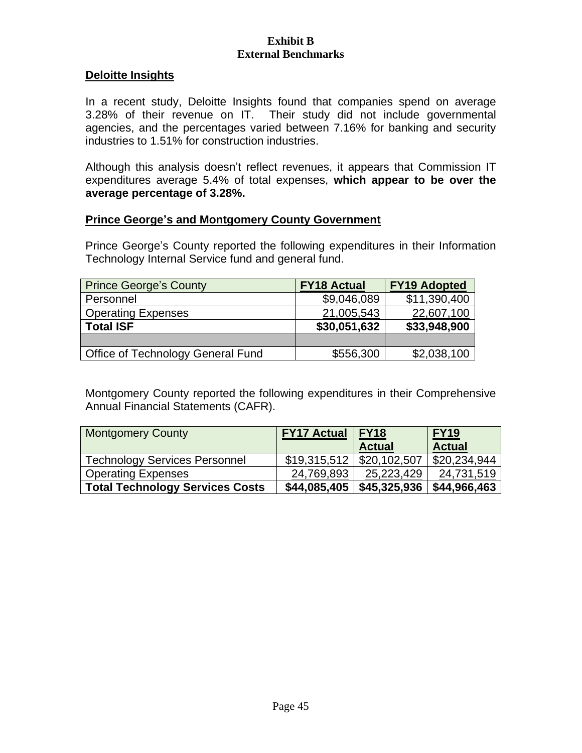#### **Deloitte Insights**

In a recent study, Deloitte Insights found that companies spend on average 3.28% of their revenue on IT. Their study did not include governmental agencies, and the percentages varied between 7.16% for banking and security industries to 1.51% for construction industries.

Although this analysis doesn't reflect revenues, it appears that Commission IT expenditures average 5.4% of total expenses, **which appear to be over the average percentage of 3.28%.**

#### **Prince George's and Montgomery County Government**

Prince George's County reported the following expenditures in their Information Technology Internal Service fund and general fund.

| <b>Prince George's County</b>     | <b>FY18 Actual</b> | <b>FY19 Adopted</b> |
|-----------------------------------|--------------------|---------------------|
| Personnel                         | \$9,046,089        | \$11,390,400        |
| <b>Operating Expenses</b>         | 21,005,543         | 22,607,100          |
| <b>Total ISF</b>                  | \$30,051,632       | \$33,948,900        |
|                                   |                    |                     |
| Office of Technology General Fund | \$556,300          | \$2,038,100         |

Montgomery County reported the following expenditures in their Comprehensive Annual Financial Statements (CAFR).

| <b>Montgomery County</b>               | <b>FY17 Actual</b>             | <b>FY18</b>   | <b>FY19</b>   |
|----------------------------------------|--------------------------------|---------------|---------------|
|                                        |                                | <b>Actual</b> | <b>Actual</b> |
| <b>Technology Services Personnel</b>   | $$19,315,512 \mid $20,102,507$ |               | \$20,234,944  |
| <b>Operating Expenses</b>              | 24,769,893                     | 25,223,429    | 24,731,519    |
| <b>Total Technology Services Costs</b> | \$44,085,405                   | \$45,325,936  | \$44,966,463  |